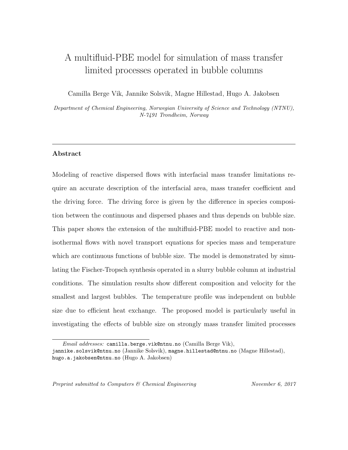# A multifluid-PBE model for simulation of mass transfer limited processes operated in bubble columns

Camilla Berge Vik, Jannike Solsvik, Magne Hillestad, Hugo A. Jakobsen

Department of Chemical Engineering, Norwegian University of Science and Technology (NTNU), N-7491 Trondheim, Norway

## Abstract

Modeling of reactive dispersed flows with interfacial mass transfer limitations require an accurate description of the interfacial area, mass transfer coefficient and the driving force. The driving force is given by the difference in species composition between the continuous and dispersed phases and thus depends on bubble size. This paper shows the extension of the multifluid-PBE model to reactive and nonisothermal flows with novel transport equations for species mass and temperature which are continuous functions of bubble size. The model is demonstrated by simulating the Fischer-Tropsch synthesis operated in a slurry bubble column at industrial conditions. The simulation results show different composition and velocity for the smallest and largest bubbles. The temperature profile was independent on bubble size due to efficient heat exchange. The proposed model is particularly useful in investigating the effects of bubble size on strongly mass transfer limited processes

Preprint submitted to Computers & Chemical Engineering November 6, 2017

Email addresses: camilla.berge.vik@ntnu.no (Camilla Berge Vik),

jannike.solsvik@ntnu.no (Jannike Solsvik), magne.hillestad@ntnu.no (Magne Hillestad), hugo.a.jakobsen@ntnu.no (Hugo A. Jakobsen)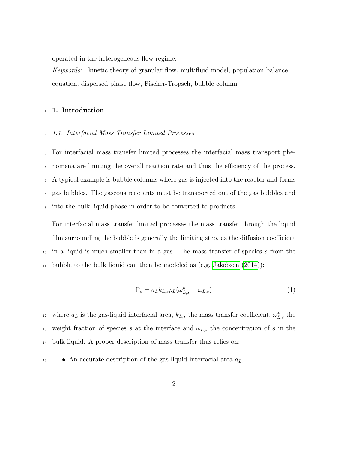operated in the heterogeneous flow regime.

Keywords: kinetic theory of granular flow, multifluid model, population balance equation, dispersed phase flow, Fischer-Tropsch, bubble column

#### <sup>1</sup> 1. Introduction

## <sup>2</sup> 1.1. Interfacial Mass Transfer Limited Processes

 For interfacial mass transfer limited processes the interfacial mass transport phe- nomena are limiting the overall reaction rate and thus the efficiency of the process. A typical example is bubble columns where gas is injected into the reactor and forms gas bubbles. The gaseous reactants must be transported out of the gas bubbles and into the bulk liquid phase in order to be converted to products.

 For interfacial mass transfer limited processes the mass transfer through the liquid film surrounding the bubble is generally the limiting step, as the diffusion coefficient in a liquid is much smaller than in a gas. The mass transfer of species s from the <sup>11</sup> bubble to the bulk liquid can then be modeled as (e.g. Jakobsen  $(2014)$ ):

<span id="page-1-0"></span>
$$
\Gamma_s = a_L k_{L,s} \rho_L (\omega_{L,s}^* - \omega_{L,s}) \tag{1}
$$

<sup>12</sup> where  $a_L$  is the gas-liquid interfacial area,  $k_{L,s}$  the mass transfer coefficient,  $\omega_{L,s}^*$  the 13 weight fraction of species s at the interface and  $\omega_{L,s}$  the concentration of s in the <sup>14</sup> bulk liquid. A proper description of mass transfer thus relies on:

 $\bullet$  An accurate description of the gas-liquid interfacial area  $a_L$ ,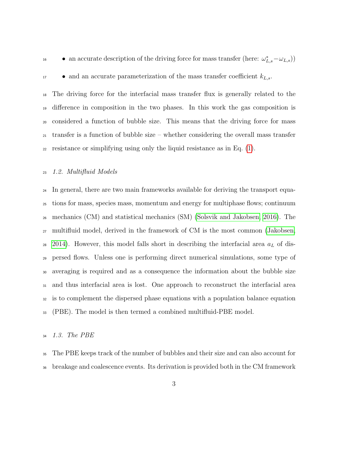• an accurate description of the driving force for mass transfer (here: 
$$
\omega_{L,s}^* - \omega_{L,s}
$$
))



 $\bullet$  and an accurate parameterization of the mass transfer coefficient  $k_{L,s}$ .

 The driving force for the interfacial mass transfer flux is generally related to the difference in composition in the two phases. In this work the gas composition is considered a function of bubble size. This means that the driving force for mass transfer is a function of bubble size – whether considering the overall mass transfer 22 resistance or simplifying using only the liquid resistance as in Eq.  $(1)$ .

## 1.2. Multifluid Models

<sup>24</sup> In general, there are two main frameworks available for deriving the transport equa- tions for mass, species mass, momentum and energy for multiphase flows; continuum mechanics (CM) and statistical mechanics (SM) [\(Solsvik and Jakobsen, 2016\)](#page-50-0). The multifluid model, derived in the framework of CM is the most common [\(Jakobsen,](#page-46-0) [2014\)](#page-46-0). However, this model falls short in describing the interfacial area  $a<sub>L</sub>$  of dis- persed flows. Unless one is performing direct numerical simulations, some type of averaging is required and as a consequence the information about the bubble size and thus interfacial area is lost. One approach to reconstruct the interfacial area is to complement the dispersed phase equations with a population balance equation (PBE). The model is then termed a combined multifluid-PBE model.

## 1.3. The PBE

 The PBE keeps track of the number of bubbles and their size and can also account for breakage and coalescence events. Its derivation is provided both in the CM framework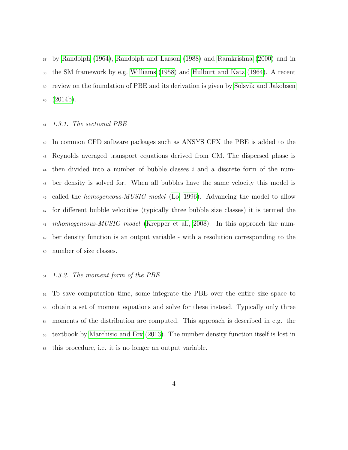by [Randolph \(1964\)](#page-49-0), [Randolph and Larson \(1988\)](#page-49-1) and [Ramkrishna \(2000\)](#page-49-2) and in the SM framework by e.g. [Williams \(1958\)](#page-51-0) and [Hulburt and Katz \(1964\)](#page-46-1). A recent review on the foundation of PBE and its derivation is given by [Solsvik and Jakobsen](#page-50-1)  $40 \quad (2014b).$  $40 \quad (2014b).$  $40 \quad (2014b).$ 

#### 1.3.1. The sectional PBE

 In common CFD software packages such as ANSYS CFX the PBE is added to the Reynolds averaged transport equations derived from CM. The dispersed phase is <sup>44</sup> then divided into a number of bubble classes i and a discrete form of the num- ber density is solved for. When all bubbles have the same velocity this model is <sup>46</sup> called the *homogeneous-MUSIG model* [\(Lo, 1996\)](#page-47-0). Advancing the model to allow for different bubble velocities (typically three bubble size classes) it is termed the *inhomogeneous-MUSIG model* [\(Krepper et al., 2008\)](#page-46-2). In this approach the num- ber density function is an output variable - with a resolution corresponding to the number of size classes.

## 1.3.2. The moment form of the PBE

 To save computation time, some integrate the PBE over the entire size space to obtain a set of moment equations and solve for these instead. Typically only three moments of the distribution are computed. This approach is described in e.g. the textbook by [Marchisio and Fox \(2013\)](#page-48-0). The number density function itself is lost in this procedure, i.e. it is no longer an output variable.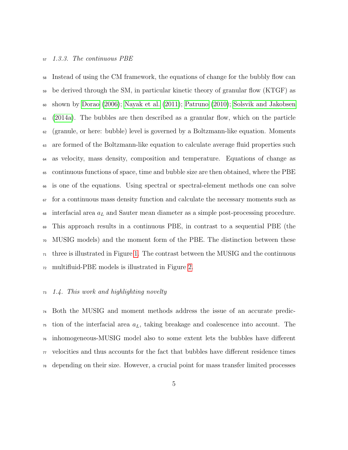#### 1.3.3. The continuous PBE

 Instead of using the CM framework, the equations of change for the bubbly flow can be derived through the SM, in particular kinetic theory of granular flow (KTGF) as  $\omega$  shown by [Dorao \(2006\)](#page-46-3); [Nayak et al. \(2011\)](#page-48-1); [Patruno \(2010\)](#page-49-3); [Solsvik and Jakobsen](#page-50-2) [\(2014a\)](#page-50-2). The bubbles are then described as a granular flow, which on the particle (granule, or here: bubble) level is governed by a Boltzmann-like equation. Moments are formed of the Boltzmann-like equation to calculate average fluid properties such as velocity, mass density, composition and temperature. Equations of change as continuous functions of space, time and bubble size are then obtained, where the PBE is one of the equations. Using spectral or spectral-element methods one can solve for a continuous mass density function and calculate the necessary moments such as  $\omega$  interfacial area  $a_L$  and Sauter mean diameter as a simple post-processing procedure. This approach results in a continuous PBE, in contrast to a sequential PBE (the MUSIG models) and the moment form of the PBE. The distinction between these  $_{71}$  three is illustrated in Figure [1.](#page-52-0) The contrast between the MUSIG and the continuous multifluid-PBE models is illustrated in Figure [2.](#page-53-0)

## 1.4. This work and highlighting novelty

 Both the MUSIG and moment methods address the issue of an accurate predic- $\tau$ <sup>5</sup> tion of the interfacial area  $a_L$ , taking breakage and coalescence into account. The inhomogeneous-MUSIG model also to some extent lets the bubbles have different velocities and thus accounts for the fact that bubbles have different residence times depending on their size. However, a crucial point for mass transfer limited processes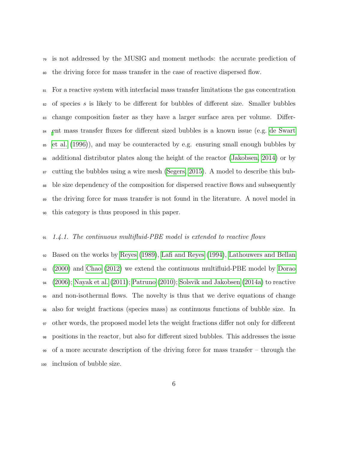is not addressed by the MUSIG and moment methods: the accurate prediction of the driving force for mass transfer in the case of reactive dispersed flow.

 For a reactive system with interfacial mass transfer limitations the gas concentration  $\mathfrak{so}$  of species s is likely to be different for bubbles of different size. Smaller bubbles change composition faster as they have a larger surface area per volume. Differ- [e](#page-46-4)nt mass transfer fluxes for different sized bubbles is a known issue (e.g. [de Swart](#page-46-4) [et al. \(1996\)](#page-46-4)), and may be counteracted by e.g. ensuring small enough bubbles by additional distributor plates along the height of the reactor [\(Jakobsen, 2014\)](#page-46-0) or by  $\frac{87}{100}$  cutting the bubbles using a wire mesh [\(Segers, 2015\)](#page-49-4). A model to describe this bub- ble size dependency of the composition for dispersed reactive flows and subsequently the driving force for mass transfer is not found in the literature. A novel model in this category is thus proposed in this paper.

## 1.4.1. The continuous multifluid-PBE model is extended to reactive flows

 Based on the works by [Reyes \(1989\)](#page-49-5), [Lafi and Reyes \(1994\)](#page-47-1), [Lathouwers and Bellan](#page-47-2) [\(2000\)](#page-47-2) and [Chao \(2012\)](#page-45-0) we extend the continuous multifluid-PBE model by [Dorao](#page-46-3)  $_{94}$  [\(2006\)](#page-46-3); [Nayak et al. \(2011\)](#page-48-1); [Patruno \(2010\)](#page-49-3); [Solsvik and Jakobsen \(2014a\)](#page-50-2) to reactive and non-isothermal flows. The novelty is thus that we derive equations of change also for weight fractions (species mass) as continuous functions of bubble size. In other words, the proposed model lets the weight fractions differ not only for different positions in the reactor, but also for different sized bubbles. This addresses the issue of a more accurate description of the driving force for mass transfer – through the inclusion of bubble size.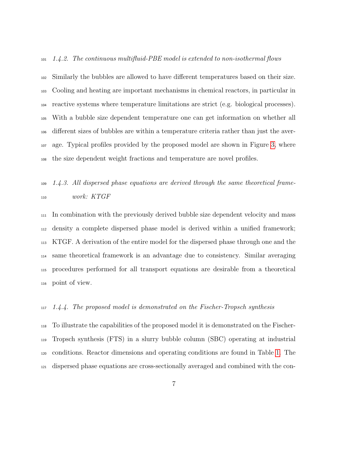#### $1.4.2.$  The continuous multifluid-PBE model is extended to non-isothermal flows

 Similarly the bubbles are allowed to have different temperatures based on their size. Cooling and heating are important mechanisms in chemical reactors, in particular in reactive systems where temperature limitations are strict (e.g. biological processes). With a bubble size dependent temperature one can get information on whether all different sizes of bubbles are within a temperature criteria rather than just the aver- age. Typical profiles provided by the proposed model are shown in Figure [3,](#page-54-0) where the size dependent weight fractions and temperature are novel profiles.

## $1.4.3.$  All dispersed phase equations are derived through the same theoretical frame-work: KTGF

 In combination with the previously derived bubble size dependent velocity and mass density a complete dispersed phase model is derived within a unified framework; KTGF. A derivation of the entire model for the dispersed phase through one and the same theoretical framework is an advantage due to consistency. Similar averaging procedures performed for all transport equations are desirable from a theoretical point of view.

## 1.4.4. The proposed model is demonstrated on the Fischer-Tropsch synthesis

 To illustrate the capabilities of the proposed model it is demonstrated on the Fischer- Tropsch synthesis (FTS) in a slurry bubble column (SBC) operating at industrial conditions. Reactor dimensions and operating conditions are found in Table [1.](#page-38-0) The dispersed phase equations are cross-sectionally averaged and combined with the con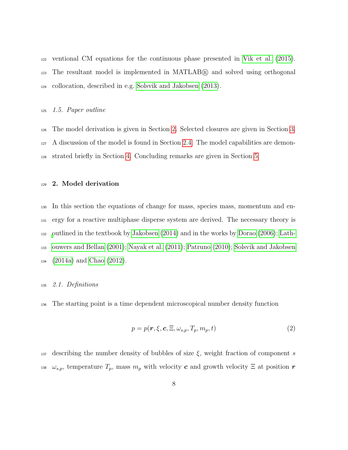ventional CM equations for the continuous phase presented in [Vik et al. \(2015\)](#page-51-1). The resultant model is implemented in MATLAB <sup>R</sup> and solved using orthogonal collocation, described in e.g. [Solsvik and Jakobsen \(2013\)](#page-50-3).

## 1.5. Paper outline

 The model derivation is given in Section [2.](#page-7-0) Selected closures are given in Section [3.](#page-17-0) A discussion of the model is found in Section [2.4.](#page-16-0) The model capabilities are demon-strated briefly in Section [4.](#page-31-0) Concluding remarks are given in Section [5.](#page-36-0)

#### <span id="page-7-0"></span>2. Model derivation

 In this section the equations of change for mass, species mass, momentum and en- ergy for a reactive multiphase disperse system are derived. The necessary theory is [o](#page-47-3)utlined in the textbook by [Jakobsen \(2014\)](#page-46-0) and in the works by [Dorao \(2006\)](#page-46-3); [Lath-](#page-47-3) [ouwers and Bellan \(2001\)](#page-47-3); [Nayak et al. \(2011\)](#page-48-1); [Patruno \(2010\)](#page-49-3); [Solsvik and Jakobsen](#page-50-2) [\(2014a\)](#page-50-2) and [Chao \(2012\)](#page-45-0).

## 2.1. Definitions

The starting point is a time dependent microscopical number density function

$$
p = p(\mathbf{r}, \xi, \mathbf{c}, \Xi, \omega_{s,p}, T_p, m_p, t) \tag{2}
$$

137 describing the number density of bubbles of size  $\xi$ , weight fraction of component s <sup>138</sup>  $\omega_{s,p}$ , temperature  $T_p$ , mass  $m_p$  with velocity c and growth velocity  $\Xi$  at position r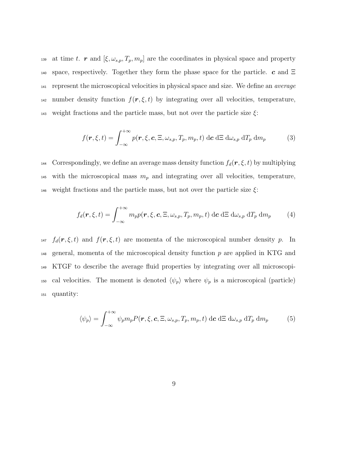139 at time t. r and  $[\xi, \omega_{s,p}, T_p, m_p]$  are the coordinates in physical space and property 140 space, respectively. Together they form the phase space for the particle. c and  $\Xi$ <sup>141</sup> represent the microscopical velocities in physical space and size. We define an average <sup>142</sup> number density function  $f(\mathbf{r}, \xi, t)$  by integrating over all velocities, temperature, 143 weight fractions and the particle mass, but not over the particle size  $\xi$ :

<span id="page-8-0"></span>
$$
f(\mathbf{r}, \xi, t) = \int_{-\infty}^{+\infty} p(\mathbf{r}, \xi, \mathbf{c}, \Xi, \omega_{s,p}, T_p, m_p, t) \, d\mathbf{c} \, d\Xi \, d\omega_{s,p} \, dT_p \, dm_p \tag{3}
$$

144 Correspondingly, we define an average mass density function  $f_d(\mathbf{r}, \xi, t)$  by multiplying <sup>145</sup> with the microscopical mass  $m_p$  and integrating over all velocities, temperature, 146 weight fractions and the particle mass, but not over the particle size  $\xi$ :

$$
f_d(\mathbf{r}, \xi, t) = \int_{-\infty}^{+\infty} m_p p(\mathbf{r}, \xi, \mathbf{c}, \Xi, \omega_{s,p}, T_p, m_p, t) \, d\mathbf{c} \, d\Xi \, d\omega_{s,p} \, dT_p \, dm_p \tag{4}
$$

<sup>147</sup>  $f_d(\mathbf{r}, \xi, t)$  and  $f(\mathbf{r}, \xi, t)$  are momenta of the microscopical number density p. In  $_{148}$  general, momenta of the microscopical density function p are applied in KTG and <sup>149</sup> KTGF to describe the average fluid properties by integrating over all microscopi-<sup>150</sup> cal velocities. The moment is denoted  $\langle \psi_p \rangle$  where  $\psi_p$  is a microscopical (particle) <sup>151</sup> quantity:

<span id="page-8-1"></span>
$$
\langle \psi_p \rangle = \int_{-\infty}^{+\infty} \psi_p m_p P(\mathbf{r}, \xi, \mathbf{c}, \Xi, \omega_{s,p}, T_p, m_p, t) \, d\mathbf{c} \, d\Xi \, d\omega_{s,p} \, dT_p \, dm_p \tag{5}
$$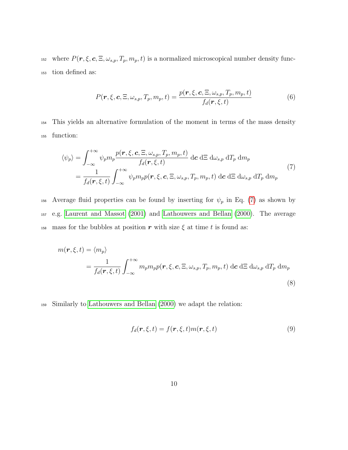<sup>152</sup> where  $P(r, \xi, c, \Xi, \omega_{s,p}, T_p, m_p, t)$  is a normalized microscopical number density func-<sup>153</sup> tion defined as:

<span id="page-9-2"></span>
$$
P(\mathbf{r}, \xi, \mathbf{c}, \Xi, \omega_{s,p}, T_p, m_p, t) = \frac{p(\mathbf{r}, \xi, \mathbf{c}, \Xi, \omega_{s,p}, T_p, m_p, t)}{f_d(\mathbf{r}, \xi, t)}
$$
(6)

<sup>154</sup> This yields an alternative formulation of the moment in terms of the mass density <sup>155</sup> function:

<span id="page-9-0"></span>
$$
\langle \psi_p \rangle = \int_{-\infty}^{+\infty} \psi_p m_p \frac{p(\mathbf{r}, \xi, \mathbf{c}, \Xi, \omega_{s,p}, T_p, m_p, t)}{f_d(\mathbf{r}, \xi, t)} \, d\mathbf{c} \, d\Xi \, d\omega_{s,p} \, dT_p \, dm_p
$$
\n
$$
= \frac{1}{f_d(\mathbf{r}, \xi, t)} \int_{-\infty}^{+\infty} \psi_p m_p p(\mathbf{r}, \xi, \mathbf{c}, \Xi, \omega_{s,p}, T_p, m_p, t) \, d\mathbf{c} \, d\Xi \, d\omega_{s,p} \, dT_p \, dm_p \tag{7}
$$

156 Average fluid properties can be found by inserting for  $\psi_p$  in Eq. [\(7\)](#page-9-0) as shown by <sup>157</sup> e.g. [Laurent and Massot \(2001\)](#page-47-4) and [Lathouwers and Bellan \(2000\)](#page-47-2). The average <sup>158</sup> mass for the bubbles at position r with size  $\xi$  at time t is found as:

<span id="page-9-1"></span>
$$
m(\mathbf{r}, \xi, t) = \langle m_p \rangle
$$
  
=  $\frac{1}{f_d(\mathbf{r}, \xi, t)} \int_{-\infty}^{+\infty} m_p m_p p(\mathbf{r}, \xi, \mathbf{c}, \Xi, \omega_{s,p}, T_p, m_p, t) \, d\mathbf{c} \, d\Xi \, d\omega_{s,p} \, dT_p \, dm_p$  (8)

<sup>159</sup> Similarly to [Lathouwers and Bellan \(2000\)](#page-47-2) we adapt the relation:

$$
f_d(\mathbf{r}, \xi, t) = f(\mathbf{r}, \xi, t) m(\mathbf{r}, \xi, t)
$$
\n(9)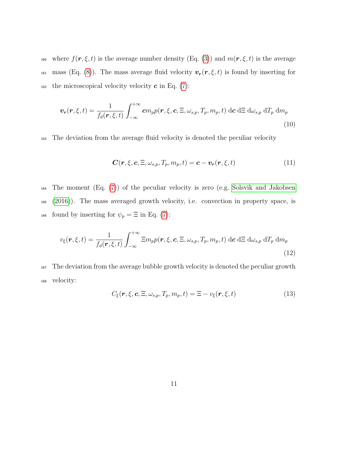160 where  $f(\mathbf{r}, \xi, t)$  is the average number density (Eq. [\(3\)](#page-8-0)) and  $m(\mathbf{r}, \xi, t)$  is the average 161 mass (Eq. [\(8\)](#page-9-1)). The mass average fluid velocity  $\mathbf{v}_r(r,\xi,t)$  is found by inserting for 162 the microscopical velocity velocity  $\boldsymbol{c}$  in Eq. [\(7\)](#page-9-0):

$$
\boldsymbol{v_r}(\boldsymbol{r},\xi,t) = \frac{1}{f_d(\boldsymbol{r},\xi,t)} \int_{-\infty}^{+\infty} \boldsymbol{c} m_p p(\boldsymbol{r},\xi,\boldsymbol{c},\Xi,\omega_{s,p},T_p,m_p,t) \, d\boldsymbol{c} \, d\Xi \, d\omega_{s,p} \, dT_p \, dm_p \tag{10}
$$

<sup>163</sup> The deviation from the average fluid velocity is denoted the peculiar velocity

$$
\mathbf{C}(\mathbf{r},\xi,\mathbf{c},\Xi,\omega_{s,p},T_p,m_p,t) = \mathbf{c} - \mathbf{v}_r(\mathbf{r},\xi,t) \tag{11}
$$

<sup>164</sup> The moment (Eq. [\(7\)](#page-9-0)) of the peculiar velocity is zero (e.g. [Solsvik and Jakobsen](#page-50-0) <sup>165</sup> [\(2016\)](#page-50-0)). The mass averaged growth velocity, i.e. convection in property space, is 166 found by inserting for  $\psi_p = \Xi$  in Eq. [\(7\)](#page-9-0):

$$
v_{\xi}(\boldsymbol{r},\xi,t) = \frac{1}{f_d(\boldsymbol{r},\xi,t)} \int_{-\infty}^{+\infty} \Xi m_p p(\boldsymbol{r},\xi,\boldsymbol{c},\Xi,\omega_{s,p},T_p,m_p,t) \,d\boldsymbol{c} \,d\Xi \,d\omega_{s,p} \,dT_p \,dm_p
$$
\n(12)

<sup>167</sup> The deviation from the average bubble growth velocity is denoted the peculiar growth <sup>168</sup> velocity:

$$
C_{\xi}(\boldsymbol{r},\xi,\boldsymbol{c},\Xi,\omega_{s,p},T_{p},m_{p},t)=\Xi-v_{\xi}(\boldsymbol{r},\xi,t)
$$
\n(13)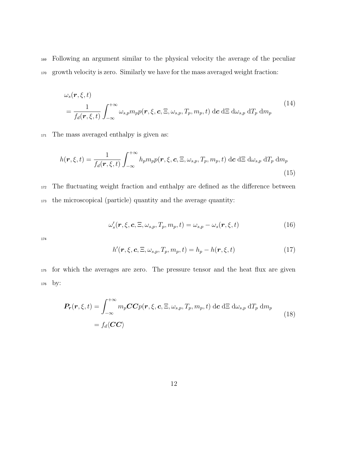<sup>169</sup> Following an argument similar to the physical velocity the average of the peculiar <sup>170</sup> growth velocity is zero. Similarly we have for the mass averaged weight fraction:

$$
\omega_s(\mathbf{r}, \xi, t) = \frac{1}{f_d(\mathbf{r}, \xi, t)} \int_{-\infty}^{+\infty} \omega_{s,p} m_p p(\mathbf{r}, \xi, \mathbf{c}, \Xi, \omega_{s,p}, T_p, m_p, t) \, d\mathbf{c} \, d\Xi \, d\omega_{s,p} \, dT_p \, dm_p \tag{14}
$$

<sup>171</sup> The mass averaged enthalpy is given as:

$$
h(\mathbf{r}, \xi, t) = \frac{1}{f_d(\mathbf{r}, \xi, t)} \int_{-\infty}^{+\infty} h_p m_p p(\mathbf{r}, \xi, \mathbf{c}, \Xi, \omega_{s,p}, T_p, m_p, t) \, d\mathbf{c} \, d\Xi \, d\omega_{s,p} \, dT_p \, dm_p \tag{15}
$$

<sup>172</sup> The fluctuating weight fraction and enthalpy are defined as the difference between <sup>173</sup> the microscopical (particle) quantity and the average quantity:

$$
\omega'_{s}(\boldsymbol{r},\xi,\boldsymbol{c},\Xi,\omega_{s,p},T_{p},m_{p},t)=\omega_{s,p}-\omega_{s}(\boldsymbol{r},\xi,t)
$$
\n(16)

174

$$
h'(\mathbf{r}, \xi, \mathbf{c}, \Xi, \omega_{s,p}, T_p, m_p, t) = h_p - h(\mathbf{r}, \xi, t)
$$
\n(17)

<sup>175</sup> for which the averages are zero. The pressure tensor and the heat flux are given <sup>176</sup> by:

<span id="page-11-0"></span>
$$
\boldsymbol{P_r}(\boldsymbol{r}, \boldsymbol{\xi}, t) = \int_{-\infty}^{+\infty} m_p \boldsymbol{C} \boldsymbol{C} p(\boldsymbol{r}, \boldsymbol{\xi}, \boldsymbol{c}, \boldsymbol{\Xi}, \omega_{s,p}, T_p, m_p, t) \, d\boldsymbol{c} \, d\boldsymbol{\Xi} \, d\omega_{s,p} \, dT_p \, dm_p
$$
\n
$$
= f_d \langle \boldsymbol{C} \boldsymbol{C} \rangle \tag{18}
$$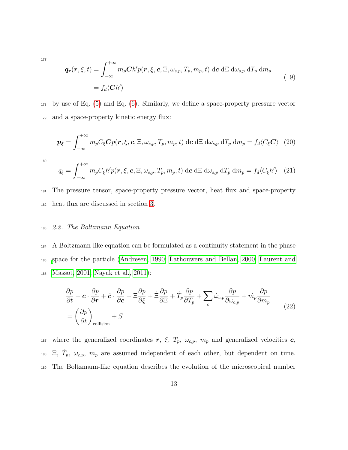177

$$
\mathbf{q}_{\mathbf{r}}(\mathbf{r},\xi,t) = \int_{-\infty}^{+\infty} m_p \mathbf{C} h' p(\mathbf{r},\xi,\mathbf{c},\Xi,\omega_{s,p},T_p,m_p,t) \,d\mathbf{c} \,d\Xi \,d\omega_{s,p} \,dT_p \,dm_p
$$
\n
$$
= f_d \langle \mathbf{C} h' \rangle \tag{19}
$$

<sup>178</sup> by use of Eq. [\(5\)](#page-8-1) and Eq. [\(6\)](#page-9-2). Similarly, we define a space-property pressure vector <sup>179</sup> and a space-property kinetic energy flux:

$$
\boldsymbol{p}_{\xi} = \int_{-\infty}^{+\infty} m_p C_{\xi} \boldsymbol{C} p(\boldsymbol{r}, \xi, \boldsymbol{c}, \Xi, \omega_{s,p}, T_p, m_p, t) \, d\boldsymbol{c} \, d\Xi \, d\omega_{s,p} \, dT_p \, dm_p = f_d \langle C_{\xi} \boldsymbol{C} \rangle \tag{20}
$$

180

$$
q_{\xi} = \int_{-\infty}^{+\infty} m_p C_{\xi} h' p(\boldsymbol{r}, \xi, \boldsymbol{c}, \Xi, \omega_{s,p}, T_p, m_p, t) \, d\boldsymbol{c} \, d\Xi \, d\omega_{s,p} \, dT_p \, dm_p = f_d \langle C_{\xi} h' \rangle \tag{21}
$$

<sup>181</sup> The pressure tensor, space-property pressure vector, heat flux and space-property <sup>182</sup> heat flux are discussed in section [3.](#page-17-0)

#### <sup>183</sup> 2.2. The Boltzmann Equation

<sup>184</sup> A Boltzmann-like equation can be formulated as a continuity statement in the phase <sup>185</sup> [s](#page-47-4)pace for the particle [\(Andresen, 1990;](#page-45-1) [Lathouwers and Bellan, 2000;](#page-47-2) [Laurent and](#page-47-4) <sup>186</sup> [Massot, 2001;](#page-47-4) [Nayak et al., 2011\)](#page-48-1):

<span id="page-12-0"></span>
$$
\frac{\partial p}{\partial t} + \mathbf{c} \cdot \frac{\partial p}{\partial \mathbf{r}} + \dot{\mathbf{c}} \cdot \frac{\partial p}{\partial \mathbf{c}} + \Xi \frac{\partial p}{\partial \xi} + \dot{\Xi} \frac{\partial p}{\partial \Xi} + \dot{T}_p \frac{\partial p}{\partial T_p} + \sum_c \dot{\omega}_{c,p} \frac{\partial p}{\partial \omega_{c,p}} + \dot{m}_p \frac{\partial p}{\partial m_p}
$$
\n
$$
= \left(\frac{\partial p}{\partial t}\right)_{\text{collision}} + S \tag{22}
$$

187 where the generalized coordinates  $r$ ,  $\xi$ ,  $T_p$ ,  $\omega_{c,p}$ ,  $m_p$  and generalized velocities  $c$ , <sup>188</sup>  $\Xi$ ,  $\dot{T}_p$ ,  $\dot{\omega}_{c,p}$ ,  $\dot{m}_p$  are assumed independent of each other, but dependent on time. <sup>189</sup> The Boltzmann-like equation describes the evolution of the microscopical number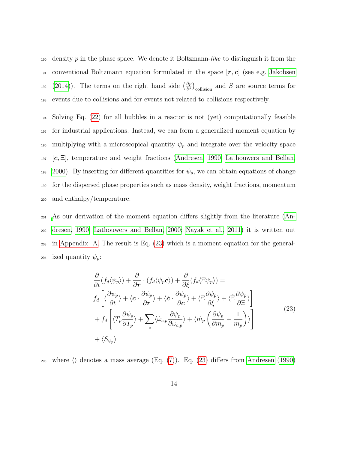$190$  density p in the phase space. We denote it Boltzmann-like to distinguish it from the <sup>191</sup> conventional Boltzmann equation formulated in the space  $[r, c]$  (see e.g. [Jakobsen](#page-46-0) <sup>192</sup> [\(2014\)](#page-46-0)). The terms on the right hand side  $\left(\frac{\partial p}{\partial t}\right)_{\text{collision}}$  and S are source terms for <sup>193</sup> events due to collisions and for events not related to collisions respectively.

 Solving Eq. [\(22\)](#page-12-0) for all bubbles in a reactor is not (yet) computationally feasible for industrial applications. Instead, we can form a generalized moment equation by 196 multiplying with a microscopical quantity  $\psi_p$  and integrate over the velocity space  $\lbrack c, \Xi \rbrack$ , temperature and weight fractions [\(Andresen, 1990;](#page-45-1) [Lathouwers and Bellan,](#page-47-2) [2000\)](#page-47-2). By inserting for different quantities for  $\psi_p$ , we can obtain equations of change for the dispersed phase properties such as mass density, weight fractions, momentum and enthalpy/temperature.

 [A](#page-45-1)s our derivation of the moment equation differs slightly from the literature [\(An-](#page-45-1) [dresen, 1990;](#page-45-1) [Lathouwers and Bellan, 2000;](#page-47-2) [Nayak et al., 2011\)](#page-48-1) it is written out in [Appendix A.](#page-58-0) The result is Eq. [\(23\)](#page-13-0) which is a moment equation for the general-204 ized quantity  $\psi_p$ :

<span id="page-13-0"></span>
$$
\frac{\partial}{\partial t}(f_d \langle \psi_p \rangle) + \frac{\partial}{\partial r} \cdot (f_d \langle \psi_p c \rangle) + \frac{\partial}{\partial \xi}(f_d \langle \Xi \psi_p \rangle) = \nf_d \left[ \langle \frac{\partial \psi_p}{\partial t} \rangle + \langle c \cdot \frac{\partial \psi_p}{\partial r} \rangle + \langle \dot{c} \cdot \frac{\partial \psi_p}{\partial c} \rangle + \langle \Xi \frac{\partial \psi_p}{\partial \xi} \rangle + \langle \dot{\Xi} \frac{\partial \psi_p}{\partial \Xi} \rangle \right] \n+ f_d \left[ \langle \dot{T}_p \frac{\partial \psi_p}{\partial T_p} \rangle + \sum_c \langle \dot{\omega}_{c,p} \frac{\partial \psi_p}{\partial \omega_{c,p}} \rangle + \langle \dot{m}_p \left( \frac{\partial \psi_p}{\partial m_p} + \frac{1}{m_p} \right) \rangle \right] \n+ \langle S_{\psi_p} \rangle
$$
\n(23)

205 where  $\langle \rangle$  denotes a mass average (Eq. [\(7\)](#page-9-0)). Eq. [\(23\)](#page-13-0) differs from [Andresen \(1990\)](#page-45-1)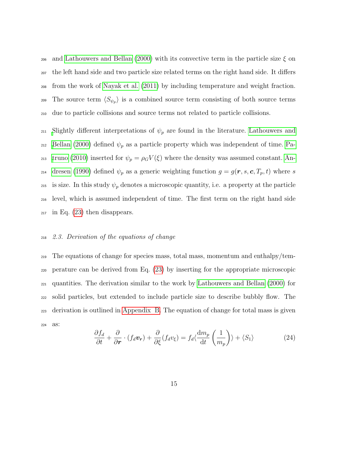<sup>206</sup> and [Lathouwers and Bellan \(2000\)](#page-47-2) with its convective term in the particle size  $\xi$  on <sup>207</sup> the left hand side and two particle size related terms on the right hand side. It differs <sup>208</sup> from the work of [Nayak et al. \(2011\)](#page-48-1) by including temperature and weight fraction. 209 The source term  $\langle S_{\psi_p} \rangle$  is a combined source term consisting of both source terms <sup>210</sup> due to particle collisions and source terms not related to particle collisions.

<sup>211</sup> [S](#page-47-2)lightly different interpretations of  $\psi_p$  are found in the literature. [Lathouwers and](#page-47-2) 212 [Bellan \(2000\)](#page-47-2) defined  $\psi_p$  as a particle property which was independent of time. [Pa](#page-49-3)<sup>213</sup> [truno \(2010\)](#page-49-3) inserted for  $\psi_p = \rho_G V(\xi)$  where the density was assumed constant. [An](#page-45-1)<sup>214</sup> [dresen \(1990\)](#page-45-1) defined  $\psi_p$  as a generic weighting function  $g = g(\mathbf{r}, s, \mathbf{c}, T_p, t)$  where s 215 is size. In this study  $\psi_p$  denotes a microscopic quantity, i.e. a property at the particle <sup>216</sup> level, which is assumed independent of time. The first term on the right hand side  $_{217}$  in Eq. [\(23\)](#page-13-0) then disappears.

## <sup>218</sup> 2.3. Derivation of the equations of change

 The equations of change for species mass, total mass, momentum and enthalpy/tem- perature can be derived from Eq. [\(23\)](#page-13-0) by inserting for the appropriate microscopic quantities. The derivation similar to the work by [Lathouwers and Bellan \(2000\)](#page-47-2) for solid particles, but extended to include particle size to describe bubbly flow. The derivation is outlined in [Appendix B.](#page-63-0) The equation of change for total mass is given <sup>224</sup> as:

<span id="page-14-0"></span>
$$
\frac{\partial f_d}{\partial t} + \frac{\partial}{\partial \mathbf{r}} \cdot (f_d \mathbf{v_r}) + \frac{\partial}{\partial \xi} (f_d v_\xi) = f_d \langle \frac{\mathrm{d} m_p}{\mathrm{d} t} \left( \frac{1}{m_p} \right) \rangle + \langle S_1 \rangle \tag{24}
$$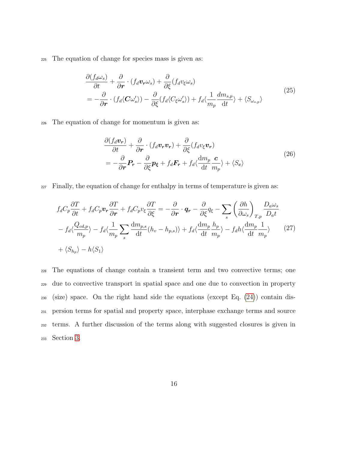<span id="page-15-0"></span><sup>225</sup> The equation of change for species mass is given as:

$$
\frac{\partial (f_d \omega_s)}{\partial t} + \frac{\partial}{\partial r} \cdot (f_d \mathbf{v}_r \omega_s) + \frac{\partial}{\partial \xi} (f_d v_\xi \omega_s)
$$
\n
$$
= -\frac{\partial}{\partial r} \cdot (f_d \langle \mathbf{C} \omega_s' \rangle) - \frac{\partial}{\partial \xi} (f_d \langle C_\xi \omega_s' \rangle) + f_d \langle \frac{1}{m_p} \frac{dm_{s,p}}{dt} \rangle + \langle S_{\omega_{s,p}} \rangle \tag{25}
$$

<span id="page-15-1"></span><sup>226</sup> The equation of change for momentum is given as:

$$
\frac{\partial (f_d \mathbf{v_r})}{\partial t} + \frac{\partial}{\partial \mathbf{r}} \cdot (f_d \mathbf{v_r} \mathbf{v_r}) + \frac{\partial}{\partial \xi} (f_d v_{\xi} \mathbf{v_r})
$$
\n
$$
= -\frac{\partial}{\partial \mathbf{r}} \mathbf{P_r} - \frac{\partial}{\partial \xi} \mathbf{p_{\xi}} + f_d \mathbf{F_r} + f_d \langle \frac{\mathrm{d}m_p}{\mathrm{d}t} \frac{\mathbf{c}}{m_p} \rangle + \langle S_c \rangle \tag{26}
$$

<sup>227</sup> Finally, the equation of change for enthalpy in terms of temperature is given as:

<span id="page-15-2"></span>
$$
f_d C_p \frac{\partial T}{\partial t} + f_d C_p \mathbf{v}_r \frac{\partial T}{\partial r} + f_d C_p \mathbf{v}_\xi \frac{\partial T}{\partial \xi} = -\frac{\partial}{\partial r} \cdot \mathbf{q}_r - \frac{\partial}{\partial \xi} q_\xi - \sum_s \left(\frac{\partial h}{\partial \omega_s}\right)_{T,p} \frac{D_a \omega_s}{D_a t}
$$

$$
- f_d \langle \frac{Q_{cd,p}}{m_p} \rangle - f_d \langle \frac{1}{m_p} \sum_s \frac{dm_{p,s}}{dt} (h_v - h_{p,s}) \rangle + f_d \langle \frac{dm_p}{dt} \frac{h_p}{m_p} \rangle - f_d h \langle \frac{dm_p}{dt} \frac{1}{m_p} \rangle \tag{27}
$$

$$
+ \langle S_{h_p} \rangle - h \langle S_1 \rangle
$$

 The equations of change contain a transient term and two convective terms; one due to convective transport in spatial space and one due to convection in property (size) space. On the right hand side the equations (except Eq. [\(24\)](#page-14-0)) contain dis- persion terms for spatial and property space, interphase exchange terms and source terms. A further discussion of the terms along with suggested closures is given in Section [3.](#page-17-0)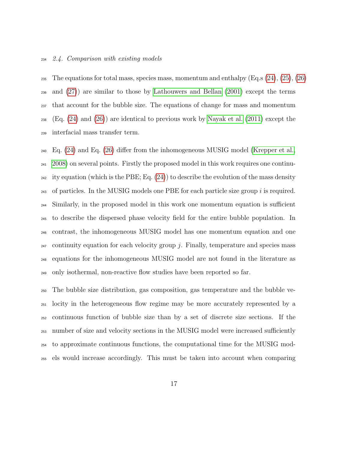#### <span id="page-16-0"></span>2.4. Comparison with existing models

235 The equations for total mass, species mass, momentum and enthalpy  $(Eq.s (24), (25), (26)$  $(Eq.s (24), (25), (26)$  $(Eq.s (24), (25), (26)$  $(Eq.s (24), (25), (26)$  $(Eq.s (24), (25), (26)$  $(Eq.s (24), (25), (26)$  and [\(27\)](#page-15-2)) are similar to those by [Lathouwers and Bellan \(2001\)](#page-47-3) except the terms that account for the bubble size. The equations of change for mass and momentum (Eq. [\(24\)](#page-14-0) and [\(26\)](#page-15-1)) are identical to previous work by [Nayak et al. \(2011\)](#page-48-1) except the interfacial mass transfer term.

 Eq. [\(24\)](#page-14-0) and Eq. [\(26\)](#page-15-1) differ from the inhomogeneous MUSIG model [\(Krepper et al.,](#page-46-2) [2008\)](#page-46-2) on several points. Firstly the proposed model in this work requires one continu-<sup>242</sup> ity equation (which is the PBE; Eq.  $(24)$ ) to describe the evolution of the mass density  $_{243}$  of particles. In the MUSIG models one PBE for each particle size group i is required. Similarly, in the proposed model in this work one momentum equation is sufficient to describe the dispersed phase velocity field for the entire bubble population. In contrast, the inhomogeneous MUSIG model has one momentum equation and one  $_{247}$  continuity equation for each velocity group j. Finally, temperature and species mass equations for the inhomogeneous MUSIG model are not found in the literature as only isothermal, non-reactive flow studies have been reported so far.

 The bubble size distribution, gas composition, gas temperature and the bubble ve- locity in the heterogeneous flow regime may be more accurately represented by a continuous function of bubble size than by a set of discrete size sections. If the number of size and velocity sections in the MUSIG model were increased sufficiently to approximate continuous functions, the computational time for the MUSIG mod-els would increase accordingly. This must be taken into account when comparing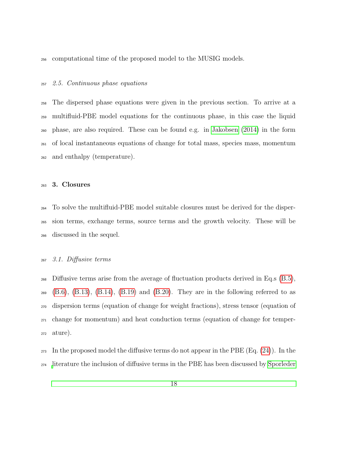computational time of the proposed model to the MUSIG models.

#### 2.5. Continuous phase equations

 The dispersed phase equations were given in the previous section. To arrive at a multifluid-PBE model equations for the continuous phase, in this case the liquid phase, are also required. These can be found e.g. in [Jakobsen \(2014\)](#page-46-0) in the form of local instantaneous equations of change for total mass, species mass, momentum and enthalpy (temperature).

## <span id="page-17-0"></span>3. Closures

 To solve the multifluid-PBE model suitable closures must be derived for the disper- sion terms, exchange terms, source terms and the growth velocity. These will be discussed in the sequel.

## 3.1. Diffusive terms

 Diffusive terms arise from the average of fluctuation products derived in Eq.s [\(B.5\)](#page-64-0),  $_{269}$  [\(B.6\)](#page-64-1), [\(B.13\)](#page-66-0), [\(B.14\)](#page-66-1), [\(B.19\)](#page-68-0) and [\(B.20\)](#page-68-1). They are in the following referred to as dispersion terms (equation of change for weight fractions), stress tensor (equation of change for momentum) and heat conduction terms (equation of change for temper-ature).

 $_{273}$  In the proposed model the diffusive terms do not appear in the PBE (Eq. [\(24\)](#page-14-0)). In the [l](#page-50-4)iterature the inclusion of diffusive terms in the PBE has been discussed by [Sporleder](#page-50-4)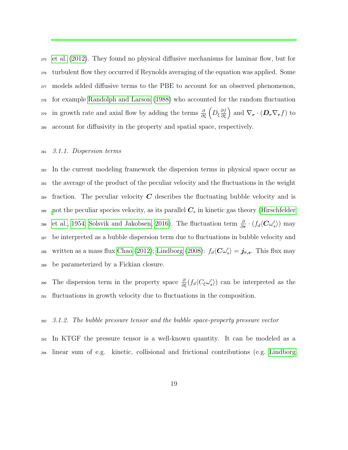[et al. \(2012\)](#page-50-4). They found no physical diffusive mechanisms for laminar flow, but for turbulent flow they occurred if Reynolds averaging of the equation was applied. Some models added diffusive terms to the PBE to account for an observed phenomenon, for example [Randolph and Larson \(1988\)](#page-49-1) who accounted for the random fluctuation <sup>279</sup> in growth rate and axial flow by adding the terms  $\frac{\partial}{\partial \xi} \left( D_{\xi} \frac{\partial f}{\partial \xi} \right)$  and  $\nabla_r \cdot ( \mathbf{D}_r \nabla_r f)$  to account for diffusivity in the property and spatial space, respectively.

## 3.1.1. Dispersion terms

 In the current modeling framework the dispersion terms in physical space occur as the average of the product of the peculiar velocity and the fluctuations in the weight <sup>284</sup> fraction. The peculiar velocity  $C$  describes the fluctuating bubble velocity and is [n](#page-46-5)ot the peculiar species velocity, as its parallel  $C_s$  in kinetic gas theory [\(Hirschfelder](#page-46-5) [et al., 1954;](#page-46-5) [Solsvik and Jakobsen, 2016\)](#page-50-0). The fluctuation term  $\frac{\partial}{\partial r} \cdot (f_d\langle C\omega'_s\rangle)$  may be interpreted as a bubble dispersion term due to fluctuations in bubble velocity and <sup>288</sup> written as a mass flux [Chao \(2012\)](#page-45-0); [Lindborg \(2008\)](#page-47-5):  $f_d\langle C\omega'_s\rangle = \dot{\mathbf{j}}_{r,s}$ . This flux may be parameterized by a Fickian closure.

290 The dispersion term in the property space  $\frac{\partial}{\partial \xi}(f_d\langle C_\xi\omega'_s\rangle)$  can be interpreted as the fluctuations in growth velocity due to fluctuations in the composition.

## 3.1.2. The bubble pressure tensor and the bubble space-property pressure vector

 In KTGF the pressure tensor is a well-known quantity. It can be modeled as a linear sum of e.g. kinetic, collisional and frictional contributions (e.g. [Lindborg](#page-47-5)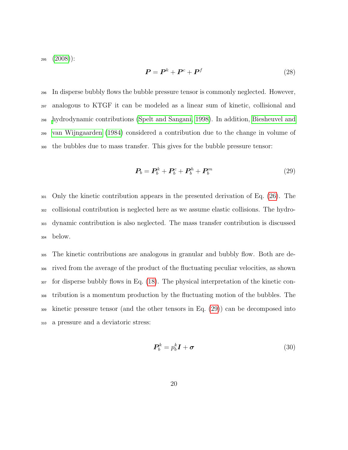$295 \quad (2008)$  $295 \quad (2008)$ :

$$
P = P^k + P^c + P^f \tag{28}
$$

 In disperse bubbly flows the bubble pressure tensor is commonly neglected. However, analogous to KTGF it can be modeled as a linear sum of kinetic, collisional and [h](#page-45-2)ydrodynamic contributions [\(Spelt and Sangani, 1998\)](#page-50-5). In addition, [Biesheuvel and](#page-45-2) [van Wijngaarden \(1984\)](#page-45-2) considered a contribution due to the change in volume of the bubbles due to mass transfer. This gives for the bubble pressure tensor:

<span id="page-19-0"></span>
$$
\boldsymbol{P}_b = \boldsymbol{P}_b^k + \boldsymbol{P}_b^c + \boldsymbol{P}_b^h + \boldsymbol{P}_b^m \tag{29}
$$

 Only the kinetic contribution appears in the presented derivation of Eq. [\(26\)](#page-15-1). The collisional contribution is neglected here as we assume elastic collisions. The hydro- dynamic contribution is also neglected. The mass transfer contribution is discussed <sup>304</sup> below.

 The kinetic contributions are analogous in granular and bubbly flow. Both are de- rived from the average of the product of the fluctuating peculiar velocities, as shown for disperse bubbly flows in Eq. [\(18\)](#page-11-0). The physical interpretation of the kinetic con- tribution is a momentum production by the fluctuating motion of the bubbles. The kinetic pressure tensor (and the other tensors in Eq. [\(29\)](#page-19-0)) can be decomposed into a pressure and a deviatoric stress:

$$
P_b^k = p_b^k \mathbf{I} + \boldsymbol{\sigma} \tag{30}
$$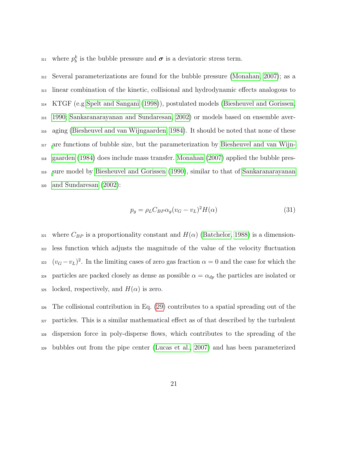311 where  $p_b^k$  is the bubble pressure and  $\sigma$  is a deviatoric stress term.

 Several parameterizations are found for the bubble pressure [\(Monahan, 2007\)](#page-48-2); as a linear combination of the kinetic, collisional and hydrodynamic effects analogous to KTGF (e.g [Spelt and Sangani \(1998\)](#page-50-5)), postulated models [\(Biesheuvel and Gorissen,](#page-45-3) [1990;](#page-45-3) [Sankaranarayanan and Sundaresan, 2002\)](#page-49-6) or models based on ensemble aver- aging [\(Biesheuvel and van Wijngaarden, 1984\)](#page-45-2). It should be noted that none of these [a](#page-45-2)re functions of bubble size, but the parameterization by [Biesheuvel and van Wijn-](#page-45-2) [gaarden \(1984\)](#page-45-2) does include mass transfer. [Monahan \(2007\)](#page-48-2) applied the bubble pres- [s](#page-49-6)ure model by [Biesheuvel and Gorissen \(1990\)](#page-45-3), similar to that of [Sankaranarayanan](#page-49-6) [and Sundaresan \(2002\)](#page-49-6):

$$
p_g = \rho_L C_B \rho \alpha_g (v_G - v_L)^2 H(\alpha) \tag{31}
$$

321 where  $C_{BP}$  is a proportionality constant and  $H(\alpha)$  [\(Batchelor, 1988\)](#page-45-4) is a dimension- less function which adjusts the magnitude of the value of the velocity fluctuation  $(v_G - v_L)^2$ . In the limiting cases of zero gas fraction  $\alpha = 0$  and the case for which the 324 particles are packed closely as dense as possible  $\alpha = \alpha_{dp}$  the particles are isolated or locked, respectively, and  $H(\alpha)$  is zero.

 The collisional contribution in Eq. [\(29\)](#page-19-0) contributes to a spatial spreading out of the particles. This is a similar mathematical effect as of that described by the turbulent dispersion force in poly-disperse flows, which contributes to the spreading of the bubbles out from the pipe center [\(Lucas et al., 2007\)](#page-47-6) and has been parameterized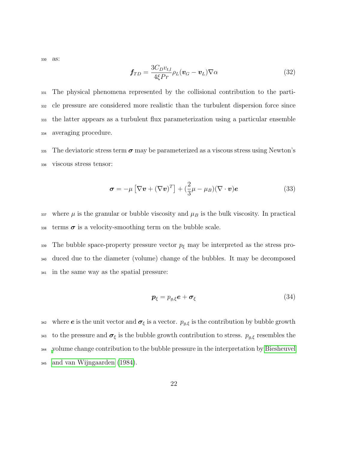<sup>330</sup> as:

$$
\mathbf{f}_{TD} = \frac{3C_D v_{t,l}}{4\xi Pr} \rho_L (\mathbf{v}_G - \mathbf{v}_L) \nabla \alpha \tag{32}
$$

 The physical phenomena represented by the collisional contribution to the parti- cle pressure are considered more realistic than the turbulent dispersion force since the latter appears as a turbulent flux parameterization using a particular ensemble averaging procedure.

335 The deviatoric stress term  $\sigma$  may be parameterized as a viscous stress using Newton's <sup>336</sup> viscous stress tensor:

$$
\boldsymbol{\sigma} = -\mu \left[ \nabla \boldsymbol{v} + (\nabla \boldsymbol{v})^T \right] + \left( \frac{2}{3} \mu - \mu_B \right) (\nabla \cdot \boldsymbol{v}) \boldsymbol{e}
$$
 (33)

337 where  $\mu$  is the granular or bubble viscosity and  $\mu_B$  is the bulk viscosity. In practical  $338$  terms  $\sigma$  is a velocity-smoothing term on the bubble scale.

339 The bubble space-property pressure vector  $p_{\xi}$  may be interpreted as the stress pro-<sup>340</sup> duced due to the diameter (volume) change of the bubbles. It may be decomposed <sup>341</sup> in the same way as the spatial pressure:

$$
\boldsymbol{p}_{\xi} = p_{g,\xi} \boldsymbol{e} + \boldsymbol{\sigma}_{\xi} \tag{34}
$$

342 where **e** is the unit vector and  $\sigma_{\xi}$  is a vector.  $p_{g,\xi}$  is the contribution by bubble growth 343 to the pressure and  $\sigma_{\xi}$  is the bubble growth contribution to stress.  $p_{g,\xi}$  resembles the <sup>344</sup> [v](#page-45-2)olume change contribution to the bubble pressure in the interpretation by [Biesheuvel](#page-45-2) <sup>345</sup> [and van Wijngaarden \(1984\)](#page-45-2).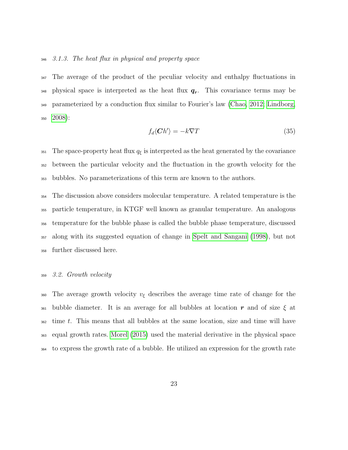## 3.1.3. The heat flux in physical and property space

 The average of the product of the peculiar velocity and enthalpy fluctuations in  $_{348}$  physical space is interpreted as the heat flux  $q_r$ . This covariance terms may be parameterized by a conduction flux similar to Fourier's law [\(Chao, 2012;](#page-45-0) [Lindborg,](#page-47-5) [2008\)](#page-47-5):

$$
f_d\langle Ch'\rangle = -k\nabla T\tag{35}
$$

351 The space-property heat flux  $q_{\xi}$  is interpreted as the heat generated by the covariance between the particular velocity and the fluctuation in the growth velocity for the bubbles. No parameterizations of this term are known to the authors.

 The discussion above considers molecular temperature. A related temperature is the particle temperature, in KTGF well known as granular temperature. An analogous temperature for the bubble phase is called the bubble phase temperature, discussed along with its suggested equation of change in [Spelt and Sangani \(1998\)](#page-50-5), but not further discussed here.

#### 3.2. Growth velocity

360 The average growth velocity  $v_{\xi}$  describes the average time rate of change for the 361 bubble diameter. It is an average for all bubbles at location r and of size  $\xi$  at time t. This means that all bubbles at the same location, size and time will have equal growth rates. [Morel \(2015\)](#page-48-3) used the material derivative in the physical space to express the growth rate of a bubble. He utilized an expression for the growth rate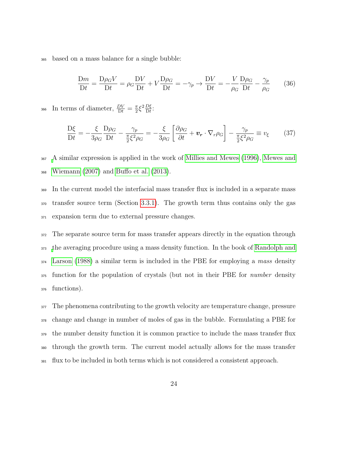<sup>365</sup> based on a mass balance for a single bubble:

$$
\frac{\text{D}m}{\text{D}t} = \frac{\text{D}\rho_G V}{\text{D}t} = \rho_G \frac{\text{D}V}{\text{D}t} + V \frac{\text{D}\rho_G}{\text{D}t} = -\gamma_p \rightarrow \frac{\text{D}V}{\text{D}t} = -\frac{V}{\rho_G} \frac{\text{D}\rho_G}{\text{D}t} - \frac{\gamma_p}{\rho_G} \tag{36}
$$

In terms of diameter,  $\frac{DV}{Dt} = \frac{\pi}{2}$  $\frac{\pi}{2} \xi^2 \frac{D\xi}{Dt}$ 366 In terms of diameter,  $\frac{DV}{Dt} = \frac{\pi}{2} \xi^2 \frac{D\xi}{Dt}$ :

$$
\frac{\mathcal{D}\xi}{\mathcal{D}t} = -\frac{\xi}{3\rho_G} \frac{\mathcal{D}\rho_G}{\mathcal{D}t} - \frac{\gamma_p}{\frac{\pi}{2}\xi^2\rho_G} = -\frac{\xi}{3\rho_G} \left[ \frac{\partial\rho_G}{\partial t} + \boldsymbol{v_r} \cdot \nabla_r \rho_G \right] - \frac{\gamma_p}{\frac{\pi}{2}\xi^2\rho_G} \equiv v_\xi \qquad (37)
$$

<sup>367</sup> [A](#page-48-5) similar expression is applied in the work of [Millies and Mewes \(1996\)](#page-48-4), [Mewes and](#page-48-5) <sup>368</sup> [Wiemann \(2007\)](#page-48-5) and [Buffo et al. \(2013\)](#page-45-5).

<sup>369</sup> In the current model the interfacial mass transfer flux is included in a separate mass <sup>370</sup> transfer source term (Section [3.3.1\)](#page-24-0). The growth term thus contains only the gas <sup>371</sup> expansion term due to external pressure changes.

 The separate source term for mass transfer appears directly in the equation through [t](#page-49-1)he averaging procedure using a mass density function. In the book of [Randolph and](#page-49-1) [Larson \(1988\)](#page-49-1) a similar term is included in the PBE for employing a mass density function for the population of crystals (but not in their PBE for number density functions).

 The phenomena contributing to the growth velocity are temperature change, pressure change and change in number of moles of gas in the bubble. Formulating a PBE for the number density function it is common practice to include the mass transfer flux through the growth term. The current model actually allows for the mass transfer flux to be included in both terms which is not considered a consistent approach.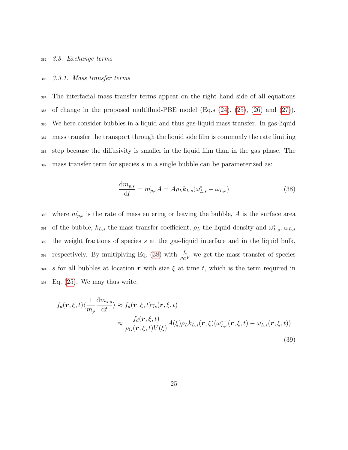#### <span id="page-24-0"></span><sup>382</sup> 3.3. Exchange terms

#### <sup>383</sup> 3.3.1. Mass transfer terms

 The interfacial mass transfer terms appear on the right hand side of all equations 385 of change in the proposed multifluid-PBE model (Eq. s  $(24)$ ,  $(25)$ ,  $(26)$  and  $(27)$ ). We here consider bubbles in a liquid and thus gas-liquid mass transfer. In gas-liquid mass transfer the transport through the liquid side film is commonly the rate limiting step because the diffusivity is smaller in the liquid film than in the gas phase. The mass transfer term for species s in a single bubble can be parameterized as:

<span id="page-24-1"></span>
$$
\frac{\mathrm{d}m_{p,s}}{\mathrm{d}t} = m_{p,s}A = A\rho_L k_{L,s}(\omega_{L,s}^* - \omega_{L,s})
$$
\n(38)

390 where  $\dot{m}_{p,s}$  is the rate of mass entering or leaving the bubble, A is the surface area 391 of the bubble,  $k_{L,s}$  the mass transfer coefficient,  $\rho_L$  the liquid density and  $\omega_{L,s}^*$ ,  $\omega_{L,s}$  $392$  the weight fractions of species s at the gas-liquid interface and in the liquid bulk, respectively. By multiplying Eq. [\(38\)](#page-24-1) with  $\frac{f_d}{\rho_G V}$  we get the mass transfer of species 393 394 s for all bubbles at location r with size  $\xi$  at time t, which is the term required in  $_{395}$  Eq. [\(25\)](#page-15-0). We may thus write:

$$
f_d(\mathbf{r}, \xi, t) \langle \frac{1}{m_p} \frac{dm_{s,p}}{dt} \rangle \approx f_d(\mathbf{r}, \xi, t) \gamma_s(\mathbf{r}, \xi, t)
$$

$$
\approx \frac{f_d(\mathbf{r}, \xi, t)}{\rho_G(\mathbf{r}, \xi, t) V(\xi)} A(\xi) \rho_L k_{L,s}(\mathbf{r}, \xi) (\omega_{L,s}^*(\mathbf{r}, \xi, t) - \omega_{L,s}(\mathbf{r}, \xi, t))
$$
(39)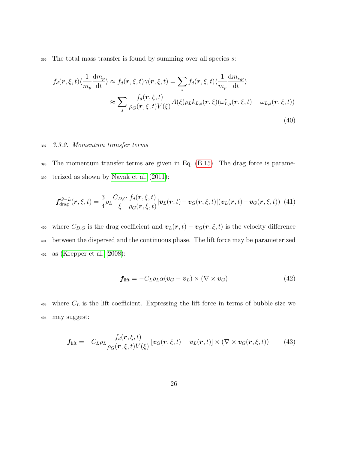$396$  The total mass transfer is found by summing over all species s:

$$
f_d(\mathbf{r}, \xi, t) \langle \frac{1}{m_p} \frac{dm_p}{dt} \rangle \approx f_d(\mathbf{r}, \xi, t) \gamma(\mathbf{r}, \xi, t) = \sum_s f_d(\mathbf{r}, \xi, t) \langle \frac{1}{m_p} \frac{dm_{s,p}}{dt} \rangle
$$
  
 
$$
\approx \sum_s \frac{f_d(\mathbf{r}, \xi, t)}{\rho_G(\mathbf{r}, \xi, t) V(\xi)} A(\xi) \rho_L k_{L,s}(\mathbf{r}, \xi) (\omega_{L,s}^*(\mathbf{r}, \xi, t) - \omega_{L,s}(\mathbf{r}, \xi, t))
$$
(40)

## <sup>397</sup> 3.3.2. Momentum transfer terms

<sup>398</sup> The momentum transfer terms are given in Eq. [\(B.15\)](#page-67-0). The drag force is parame-<sup>399</sup> terized as shown by [Nayak et al. \(2011\)](#page-48-1):

$$
\boldsymbol{f}_{\text{drag}}^{G-L}(\boldsymbol{r},\xi,t) = \frac{3}{4}\rho_L \frac{C_{D,G}}{\xi} \frac{f_d(\boldsymbol{r},\xi,t)}{\rho_G(\boldsymbol{r},\xi,t)} |\boldsymbol{v}_L(\boldsymbol{r},t) - \boldsymbol{v}_G(\boldsymbol{r},\xi,t)| (\boldsymbol{v}_L(\boldsymbol{r},t) - \boldsymbol{v}_G(\boldsymbol{r},\xi,t))
$$
(41)

400 where  $C_{D,G}$  is the drag coefficient and  $\mathbf{v}_L(\mathbf{r}, t) - \mathbf{v}_G(\mathbf{r}, \xi, t)$  is the velocity difference <sup>401</sup> between the dispersed and the continuous phase. The lift force may be parameterized <sup>402</sup> as [\(Krepper et al., 2008\)](#page-46-2):

$$
\mathbf{f}_{\text{lift}} = -C_L \rho_L \alpha (\mathbf{v}_G - \mathbf{v}_L) \times (\nabla \times \mathbf{v}_G) \tag{42}
$$

 $\omega_3$  where  $C_L$  is the lift coefficient. Expressing the lift force in terms of bubble size we <sup>404</sup> may suggest:

$$
\boldsymbol{f}_{\text{lift}} = -C_L \rho_L \frac{f_d(\boldsymbol{r}, \xi, t)}{\rho_G(\boldsymbol{r}, \xi, t) V(\xi)} \left[ \boldsymbol{v}_G(\boldsymbol{r}, \xi, t) - \boldsymbol{v}_L(\boldsymbol{r}, t) \right] \times (\nabla \times \boldsymbol{v}_G(\boldsymbol{r}, \xi, t)) \tag{43}
$$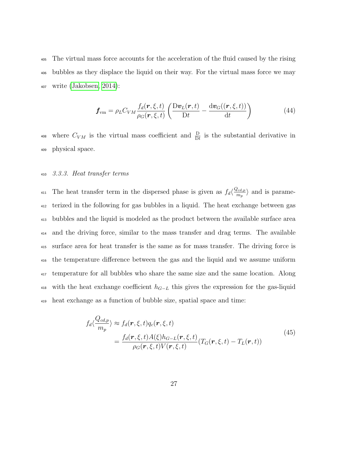<sup>405</sup> The virtual mass force accounts for the acceleration of the fluid caused by the rising <sup>406</sup> bubbles as they displace the liquid on their way. For the virtual mass force we may <sup>407</sup> write [\(Jakobsen, 2014\)](#page-46-0):

$$
\boldsymbol{f}_{\text{vm}} = \rho_L C_{VM} \frac{f_d(\boldsymbol{r}, \xi, t)}{\rho_G(\boldsymbol{r}, \xi, t)} \left( \frac{\mathrm{D} \boldsymbol{v}_L(\boldsymbol{r}, t)}{\mathrm{D} t} - \frac{\mathrm{d} \boldsymbol{v}_G((\boldsymbol{r}, \xi, t))}{\mathrm{d} t} \right) \tag{44}
$$

<sup>408</sup> where  $C_{VM}$  is the virtual mass coefficient and  $\frac{D}{Dt}$  is the substantial derivative in <sup>409</sup> physical space.

## <sup>410</sup> 3.3.3. Heat transfer terms

The heat transfer term in the dispersed phase is given as  $f_d\left(\frac{Q_{cd,p}}{m_a}\right)$ <sup>411</sup> The heat transfer term in the dispersed phase is given as  $f_d\left(\frac{Q_{cd,p}}{m_p}\right)$  and is parame- terized in the following for gas bubbles in a liquid. The heat exchange between gas bubbles and the liquid is modeled as the product between the available surface area and the driving force, similar to the mass transfer and drag terms. The available surface area for heat transfer is the same as for mass transfer. The driving force is the temperature difference between the gas and the liquid and we assume uniform temperature for all bubbles who share the same size and the same location. Along 418 with the heat exchange coefficient  $h_{G-L}$  this gives the expression for the gas-liquid heat exchange as a function of bubble size, spatial space and time:

$$
f_d \langle \frac{Q_{cd,p}}{m_p} \rangle \approx f_d(\mathbf{r}, \xi, t) q_c(\mathbf{r}, \xi, t)
$$
  
= 
$$
\frac{f_d(\mathbf{r}, \xi, t) A(\xi) h_{G-L}(\mathbf{r}, \xi, t)}{\rho_G(\mathbf{r}, \xi, t) V(\mathbf{r}, \xi, t)} (T_G(\mathbf{r}, \xi, t) - T_L(\mathbf{r}, t))
$$
(45)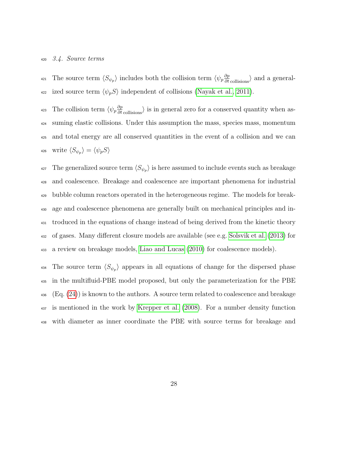#### 3.4. Source terms

<sup>421</sup> The source term  $\langle S_{\psi_p} \rangle$  includes both the collision term  $\langle \psi_p \frac{\partial p}{\partial t}$ <sub>collisions</sub> $\rangle$  and a general-422 ized source term  $\langle \psi_p S \rangle$  independent of collisions [\(Nayak et al., 2011\)](#page-48-1).

<sup>423</sup> The collision term  $\langle \psi_p \frac{\partial p}{\partial t}$  collisions is in general zero for a conserved quantity when as- suming elastic collisions. Under this assumption the mass, species mass, momentum and total energy are all conserved quantities in the event of a collision and we can 426 write  $\langle S_{\psi_p} \rangle = \langle \psi_p S \rangle$ 

<sup>427</sup> The generalized source term  $\langle S_{\psi_p} \rangle$  is here assumed to include events such as breakage and coalescence. Breakage and coalescence are important phenomena for industrial bubble column reactors operated in the heterogeneous regime. The models for break- age and coalescence phenomena are generally built on mechanical principles and in- troduced in the equations of change instead of being derived from the kinetic theory of gases. Many different closure models are available (see e.g. [Solsvik et al. \(2013\)](#page-50-6) for a review on breakage models, [Liao and Lucas \(2010\)](#page-47-7) for coalescence models).

<sup>434</sup> The source term  $\langle S_{\psi_p} \rangle$  appears in all equations of change for the dispersed phase in the multifluid-PBE model proposed, but only the parameterization for the PBE  $_{436}$  (Eq. [\(24\)](#page-14-0)) is known to the authors. A source term related to coalescence and breakage is mentioned in the work by [Krepper et al. \(2008\)](#page-46-2). For a number density function with diameter as inner coordinate the PBE with source terms for breakage and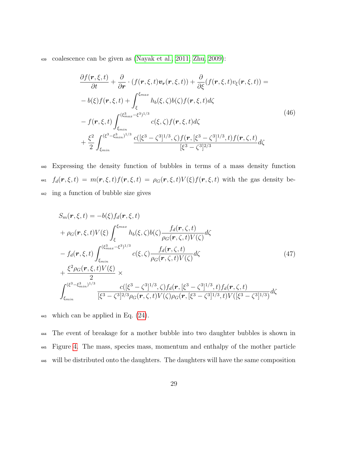<sup>439</sup> coalescence can be given as [\(Nayak et al., 2011;](#page-48-1) [Zhu, 2009\)](#page-51-2):

$$
\frac{\partial f(\mathbf{r}, \xi, t)}{\partial t} + \frac{\partial}{\partial \mathbf{r}} \cdot (f(\mathbf{r}, \xi, t)\mathbf{v}_{\mathbf{r}}(\mathbf{r}, \xi, t)) + \frac{\partial}{\partial \xi}(f(\mathbf{r}, \xi, t)v_{\xi}(\mathbf{r}, \xi, t)) =- b(\xi)f(\mathbf{r}, \xi, t) + \int_{\xi}^{\xi_{max}} h_b(\xi, \zeta)b(\zeta)f(\mathbf{r}, \xi, t)d\zeta- f(\mathbf{r}, \xi, t) \int_{\xi_{min}}^{(\xi_{max}^3 - \xi^3)^{1/3}} c(\xi, \zeta)f(\mathbf{r}, \xi, t)d\zeta+ \frac{\xi^2}{2} \int_{\xi_{min}}^{(\xi^3 - \xi_{min}^3)^{1/3}} \frac{c([\xi^3 - \zeta^3]^{1/3}, \zeta)f(\mathbf{r}, [\xi^3 - \zeta^3]^{1/3}, t)f(\mathbf{r}, \zeta, t)}{[\xi^3 - \zeta^3]^{2/3}} d\zeta
$$
\n(46)

<sup>440</sup> Expressing the density function of bubbles in terms of a mass density function 441  $f_d(\mathbf{r}, \xi, t) = m(\mathbf{r}, \xi, t) f(\mathbf{r}, \xi, t) = \rho_G(\mathbf{r}, \xi, t) V(\xi) f(\mathbf{r}, \xi, t)$  with the gas density be-<sup>442</sup> ing a function of bubble size gives

<span id="page-28-0"></span>
$$
S_{m}(\mathbf{r}, \xi, t) = -b(\xi) f_{d}(\mathbf{r}, \xi, t)
$$
  
+  $\rho_{G}(\mathbf{r}, \xi, t) V(\xi) \int_{\xi}^{\xi_{max}} h_{b}(\xi, \zeta) b(\zeta) \frac{f_{d}(\mathbf{r}, \zeta, t)}{\rho_{G}(\mathbf{r}, \zeta, t) V(\zeta)} d\zeta$   
-  $f_{d}(\mathbf{r}, \xi, t) \int_{\xi_{min}}^{(\xi_{max}^3 - \xi^3)^{1/3}} c(\xi, \zeta) \frac{f_{d}(\mathbf{r}, \zeta, t)}{\rho_{G}(\mathbf{r}, \zeta, t) V(\zeta)} d\zeta$   
+  $\frac{\xi^{2} \rho_{G}(\mathbf{r}, \xi, t) V(\xi)}{2} \times$   
 $\int_{\xi_{min}}^{(\xi^{3} - \xi_{min}^{3})^{1/3}} \frac{c([\xi^{3} - \zeta^{3}]^{1/3}, \zeta) f_{d}(\mathbf{r}, [\xi^{3} - \zeta^{3}]^{1/3}, t) f_{d}(\mathbf{r}, \zeta, t)}{[\xi^{3} - \zeta^{3}]^{2/3} \rho_{G}(\mathbf{r}, \zeta, t) V(\zeta) \rho_{G}(\mathbf{r}, [\xi^{3} - \zeta^{3}]^{1/3}, t) V([\xi^{3} - \zeta^{3}]^{1/3})} d\zeta$  (47)

<sup>443</sup> which can be applied in Eq. [\(24\)](#page-14-0).

<sup>444</sup> The event of breakage for a mother bubble into two daughter bubbles is shown in <sup>445</sup> Figure [4.](#page-54-1) The mass, species mass, momentum and enthalpy of the mother particle <sup>446</sup> will be distributed onto the daughters. The daughters will have the same composition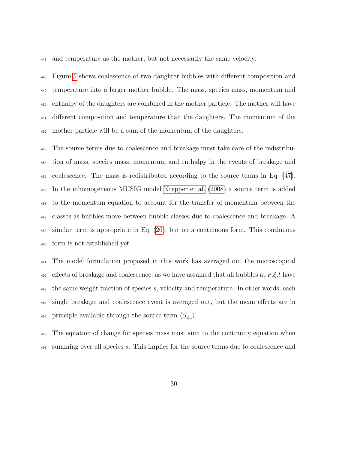and temperature as the mother, but not necessarily the same velocity.

 Figure [5](#page-55-0) shows coalescence of two daughter bubbles with different composition and temperature into a larger mother bubble. The mass, species mass, momentum and enthalpy of the daughters are combined in the mother particle. The mother will have different composition and temperature than the daughters. The momentum of the mother particle will be a sum of the momentum of the daughters.

 The source terms due to coalescence and breakage must take care of the redistribu- tion of mass, species mass, momentum and enthalpy in the events of breakage and coalescence. The mass is redistributed according to the source terms in Eq. [\(47\)](#page-28-0). In the inhomogeneous MUSIG model [Krepper et al. \(2008\)](#page-46-2) a source term is added to the momentum equation to account for the transfer of momentum between the classes as bubbles move between bubble classes due to coalescence and breakage. A similar term is appropriate in Eq. [\(26\)](#page-15-1), but on a continuous form. This continuous form is not established yet.

 The model formulation proposed in this work has averaged out the microscopical  $_{462}$  effects of breakage and coalescence, as we have assumed that all bubbles at  $r, \xi, t$  have the same weight fraction of species s, velocity and temperature. In other words, each single breakage and coalescence event is averaged out, but the mean effects are in 465 principle available through the source term  $\langle S_{\psi_p} \rangle$ .

 The equation of change for species mass must sum to the continuity equation when summing over all species s. This implies for the source terms due to coalescence and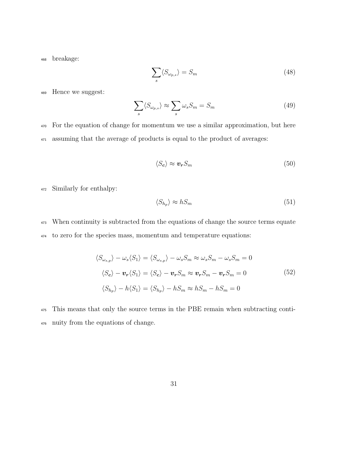<sup>468</sup> breakage:

$$
\sum_{s} \langle S_{\omega_{p,s}} \rangle = S_m \tag{48}
$$

<sup>469</sup> Hence we suggest:

$$
\sum_{s} \langle S_{\omega_{p,s}} \rangle \approx \sum_{s} \omega_{s} S_{m} = S_{m} \tag{49}
$$

<sup>470</sup> For the equation of change for momentum we use a similar approximation, but here <sup>471</sup> assuming that the average of products is equal to the product of averages:

$$
\langle S_c \rangle \approx \boldsymbol{v_r} S_m \tag{50}
$$

<sup>472</sup> Similarly for enthalpy:

$$
\langle S_{h_p} \rangle \approx h S_m \tag{51}
$$

<sup>473</sup> When continuity is subtracted from the equations of change the source terms equate <sup>474</sup> to zero for the species mass, momentum and temperature equations:

$$
\langle S_{\omega_{s,p}} \rangle - \omega_s \langle S_1 \rangle = \langle S_{\omega_{s,p}} \rangle - \omega_s S_m \approx \omega_s S_m - \omega_s S_m = 0
$$
  

$$
\langle S_c \rangle - \mathbf{v_r} \langle S_1 \rangle = \langle S_c \rangle - \mathbf{v_r} S_m \approx \mathbf{v_r} S_m - \mathbf{v_r} S_m = 0
$$
  

$$
\langle S_{h_p} \rangle - h \langle S_1 \rangle = \langle S_{h_p} \rangle - h S_m \approx h S_m - h S_m = 0
$$
  
(52)

<sup>475</sup> This means that only the source terms in the PBE remain when subtracting conti-<sup>476</sup> nuity from the equations of change.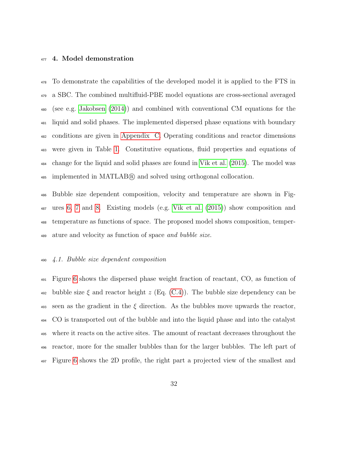## <span id="page-31-0"></span>477 4. Model demonstration

 To demonstrate the capabilities of the developed model it is applied to the FTS in a SBC. The combined multifluid-PBE model equations are cross-sectional averaged (see e.g. [Jakobsen \(2014\)](#page-46-0)) and combined with conventional CM equations for the liquid and solid phases. The implemented dispersed phase equations with boundary conditions are given in [Appendix C.](#page-71-0) Operating conditions and reactor dimensions were given in Table [1.](#page-38-0) Constitutive equations, fluid properties and equations of change for the liquid and solid phases are found in [Vik et al. \(2015\)](#page-51-1). The model was implemented in MATLAB <sup>R</sup> and solved using orthogonal collocation.

 Bubble size dependent composition, velocity and temperature are shown in Fig- ures [6,](#page-55-1) [7](#page-56-0) and [8.](#page-56-1) Existing models (e.g. [Vik et al. \(2015\)](#page-51-1)) show composition and temperature as functions of space. The proposed model shows composition, temper-ature and velocity as function of space and bubble size.

## 4.1. Bubble size dependent composition

 Figure [6](#page-55-1) shows the dispersed phase weight fraction of reactant, CO, as function of 492 bubble size  $\xi$  and reactor height  $z$  (Eq. [\(C.4\)](#page-72-0)). The bubble size dependency can be 493 seen as the gradient in the  $\xi$  direction. As the bubbles move upwards the reactor, CO is transported out of the bubble and into the liquid phase and into the catalyst where it reacts on the active sites. The amount of reactant decreases throughout the reactor, more for the smaller bubbles than for the larger bubbles. The left part of Figure [6](#page-55-1) shows the 2D profile, the right part a projected view of the smallest and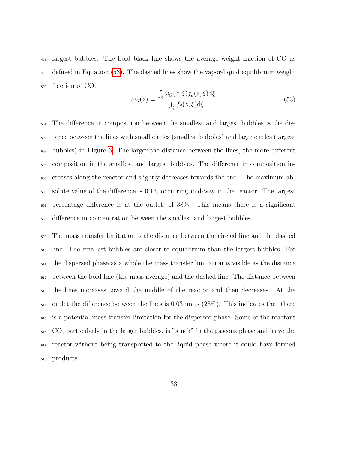largest bubbles. The bold black line shows the average weight fraction of CO as defined in Equation [\(53\)](#page-32-0). The dashed lines show the vapor-liquid equilibrium weight fraction of CO.

<span id="page-32-0"></span>
$$
\omega_G(z) = \frac{\int_{\xi} \omega_G(z,\xi) f_d(z,\xi) d\xi}{\int_{\xi} f_d(z,\xi) d\xi}
$$
(53)

 The difference in composition between the smallest and largest bubbles is the dis- tance between the lines with small circles (smallest bubbles) and large circles (largest bubbles) in Figure [6.](#page-55-1) The larger the distance between the lines, the more different composition in the smallest and largest bubbles. The difference in composition in- creases along the reactor and slightly decreases towards the end. The maximum ab- solute value of the difference is 0.13, occurring mid-way in the reactor. The largest percentage difference is at the outlet, of 38%. This means there is a significant difference in concentration between the smallest and largest bubbles.

 The mass transfer limitation is the distance between the circled line and the dashed line. The smallest bubbles are closer to equilibrium than the largest bubbles. For the dispersed phase as a whole the mass transfer limitation is visible as the distance between the bold line (the mass average) and the dashed line. The distance between the lines increases toward the middle of the reactor and then decreases. At the  $_{514}$  outlet the difference between the lines is 0.03 units (25%). This indicates that there is a potential mass transfer limitation for the dispersed phase. Some of the reactant CO, particularly in the larger bubbles, is "stuck" in the gaseous phase and leave the reactor without being transported to the liquid phase where it could have formed products.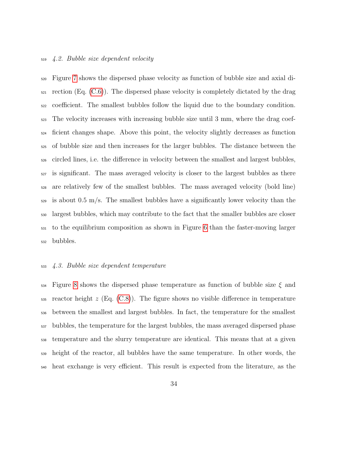## 4.2. Bubble size dependent velocity

 Figure [7](#page-56-0) shows the dispersed phase velocity as function of bubble size and axial di- rection (Eq. [\(C.6\)](#page-72-1)). The dispersed phase velocity is completely dictated by the drag coefficient. The smallest bubbles follow the liquid due to the boundary condition. The velocity increases with increasing bubble size until 3 mm, where the drag coef- ficient changes shape. Above this point, the velocity slightly decreases as function of bubble size and then increases for the larger bubbles. The distance between the circled lines, i.e. the difference in velocity between the smallest and largest bubbles, is significant. The mass averaged velocity is closer to the largest bubbles as there are relatively few of the smallest bubbles. The mass averaged velocity (bold line) is about 0.5 m/s. The smallest bubbles have a significantly lower velocity than the largest bubbles, which may contribute to the fact that the smaller bubbles are closer to the equilibrium composition as shown in Figure [6](#page-55-1) than the faster-moving larger bubbles.

## 4.3. Bubble size dependent temperature

 $_{534}$  Figure [8](#page-56-1) shows the dispersed phase temperature as function of bubble size  $\xi$  and reactor height z (Eq. [\(C.8\)](#page-73-0)). The figure shows no visible difference in temperature between the smallest and largest bubbles. In fact, the temperature for the smallest bubbles, the temperature for the largest bubbles, the mass averaged dispersed phase temperature and the slurry temperature are identical. This means that at a given height of the reactor, all bubbles have the same temperature. In other words, the heat exchange is very efficient. This result is expected from the literature, as the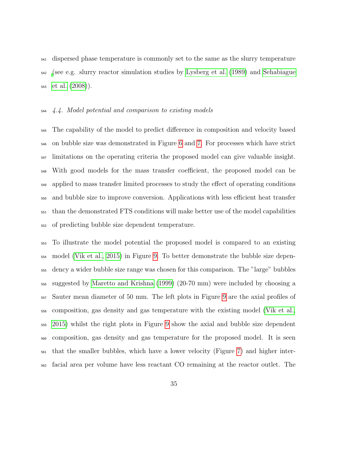dispersed phase temperature is commonly set to the same as the slurry temperature [\(](#page-49-7)see e.g. slurry reactor simulation studies by [Lysberg et al. \(1989\)](#page-48-6) and [Sehabiague](#page-49-7) [et al. \(2008\)](#page-49-7)).

## 4.4. Model potential and comparison to existing models

 The capability of the model to predict difference in composition and velocity based on bubble size was demonstrated in Figure [6](#page-55-1) and [7.](#page-56-0) For processes which have strict  $_{547}$  limitations on the operating criteria the proposed model can give valuable insight. With good models for the mass transfer coefficient, the proposed model can be applied to mass transfer limited processes to study the effect of operating conditions and bubble size to improve conversion. Applications with less efficient heat transfer than the demonstrated FTS conditions will make better use of the model capabilities of predicting bubble size dependent temperature.

 To illustrate the model potential the proposed model is compared to an existing model [\(Vik et al., 2015\)](#page-51-1) in Figure [9.](#page-57-0) To better demonstrate the bubble size depen- dency a wider bubble size range was chosen for this comparison. The "large" bubbles suggested by [Maretto and Krishna \(1999\)](#page-48-7) (20-70 mm) were included by choosing a Sauter mean diameter of 50 mm. The left plots in Figure [9](#page-57-0) are the axial profiles of composition, gas density and gas temperature with the existing model [\(Vik et al.,](#page-51-1) [2015\)](#page-51-1) whilst the right plots in Figure [9](#page-57-0) show the axial and bubble size dependent composition, gas density and gas temperature for the proposed model. It is seen that the smaller bubbles, which have a lower velocity (Figure [7\)](#page-56-0) and higher inter-facial area per volume have less reactant CO remaining at the reactor outlet. The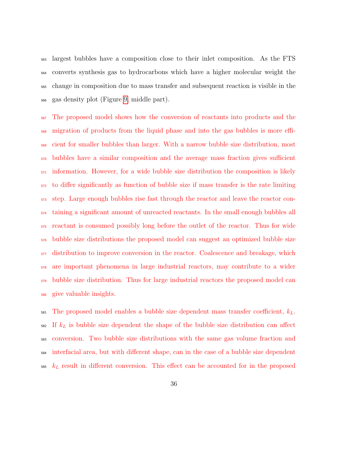largest bubbles have a composition close to their inlet composition. As the FTS converts synthesis gas to hydrocarbons which have a higher molecular weight the change in composition due to mass transfer and subsequent reaction is visible in the gas density plot (Figure [9,](#page-57-0) middle part).

 The proposed model shows how the conversion of reactants into products and the migration of products from the liquid phase and into the gas bubbles is more effi- cient for smaller bubbles than larger. With a narrow bubble size distribution, most bubbles have a similar composition and the average mass fraction gives sufficient information. However, for a wide bubble size distribution the composition is likely to differ significantly as function of bubble size if mass transfer is the rate limiting step. Large enough bubbles rise fast through the reactor and leave the reactor con- taining a significant amount of unreacted reactants. In the small enough bubbles all reactant is consumed possibly long before the outlet of the reactor. Thus for wide bubble size distributions the proposed model can suggest an optimized bubble size distribution to improve conversion in the reactor. Coalescence and breakage, which are important phenomena in large industrial reactors, may contribute to a wider bubble size distribution. Thus for large industrial reactors the proposed model can give valuable insights.

 $\epsilon_{\text{ssi}}$  The proposed model enables a bubble size dependent mass transfer coefficient,  $k_L$ . If  $k_L$  is bubble size dependent the shape of the bubble size distribution can affect conversion. Two bubble size distributions with the same gas volume fraction and interfacial area, but with different shape, can in the case of a bubble size dependent  $k_L$  result in different conversion. This effect can be accounted for in the proposed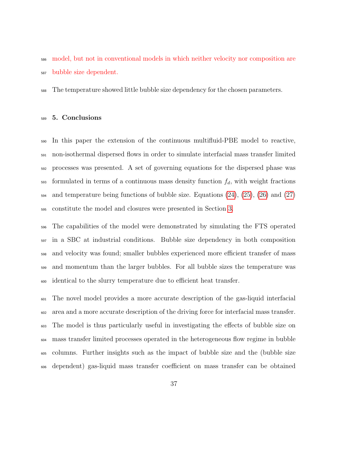model, but not in conventional models in which neither velocity nor composition are bubble size dependent.

The temperature showed little bubble size dependency for the chosen parameters.

#### 5. Conclusions

 In this paper the extension of the continuous multifluid-PBE model to reactive, non-isothermal dispersed flows in order to simulate interfacial mass transfer limited processes was presented. A set of governing equations for the dispersed phase was  $_{593}$  formulated in terms of a continuous mass density function  $f_d$ , with weight fractions  $_{594}$  and temperature being functions of bubble size. Equations  $(24)$ ,  $(25)$ ,  $(26)$  and  $(27)$ constitute the model and closures were presented in Section [3.](#page-17-0)

 The capabilities of the model were demonstrated by simulating the FTS operated in a SBC at industrial conditions. Bubble size dependency in both composition and velocity was found; smaller bubbles experienced more efficient transfer of mass and momentum than the larger bubbles. For all bubble sizes the temperature was identical to the slurry temperature due to efficient heat transfer.

 The novel model provides a more accurate description of the gas-liquid interfacial area and a more accurate description of the driving force for interfacial mass transfer. The model is thus particularly useful in investigating the effects of bubble size on mass transfer limited processes operated in the heterogeneous flow regime in bubble columns. Further insights such as the impact of bubble size and the (bubble size dependent) gas-liquid mass transfer coefficient on mass transfer can be obtained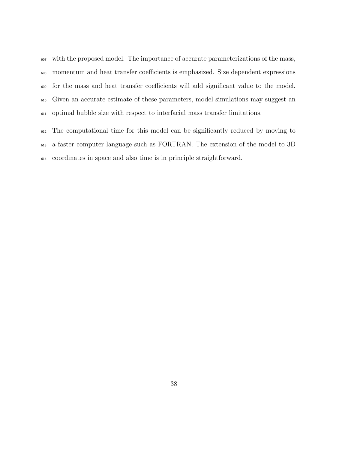with the proposed model. The importance of accurate parameterizations of the mass, momentum and heat transfer coefficients is emphasized. Size dependent expressions for the mass and heat transfer coefficients will add significant value to the model. Given an accurate estimate of these parameters, model simulations may suggest an optimal bubble size with respect to interfacial mass transfer limitations.

 The computational time for this model can be significantly reduced by moving to a faster computer language such as FORTRAN. The extension of the model to 3D coordinates in space and also time is in principle straightforward.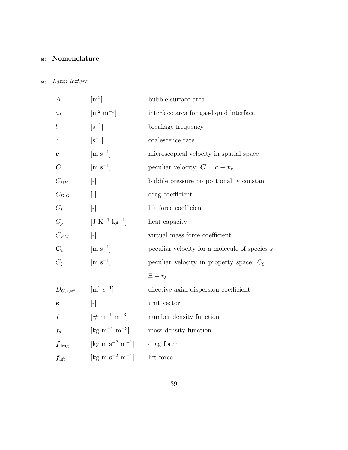# <sup>615</sup> Nomenclature

## <sup>616</sup> Latin letters

| $\boldsymbol{A}$                 | $\rm [m^2]$                                                | bubble surface area                              |
|----------------------------------|------------------------------------------------------------|--------------------------------------------------|
| $a_L$                            | $\left[\mathrm{m}^2\mathrm{~m}^{-3}\right]$                | interface area for gas-liquid interface          |
| $\boldsymbol{b}$                 | $\left[\mathrm{s}^{-1}\right]$                             | breakage frequency                               |
| $\boldsymbol{c}$                 | $[s^{-1}]$                                                 | coalescence rate                                 |
| $\boldsymbol{c}$                 | $\left[\text{m s}^{-1}\right]$                             | microscopical velocity in spatial space          |
| $\boldsymbol{C}$                 | $\left[\text{m s}^{-1}\right]$                             | peculiar velocity; $C = c - v_r$                 |
| $C_{BP}$                         | $\left[ -\right]$                                          | bubble pressure proportionality constant         |
| $C_{D,G}$                        | $\left[\begin{matrix} - \end{matrix}\right]$               | drag coefficient                                 |
| $C_L$                            | $\left[\begin{matrix} - \\ 1 \end{matrix}\right]$          | lift force coefficient                           |
| $C_p$                            | $[J K^{-1} kg^{-1}]$                                       | heat capacity                                    |
| $C_{VM}$                         | $\left[\begin{matrix} - \end{matrix}\right]$               | virtual mass force coefficient                   |
| $C_{s}$                          | $\left[\text{m s}^{-1}\right]$                             | peculiar velocity for a molecule of species $s$  |
| $C_{\xi}$                        | $\left[\text{m s}^{-1}\right]$                             | peculiar velocity in property space; $C_{\xi}$ = |
|                                  |                                                            | $\Xi-v_{\xi}$                                    |
| $D_{G,z,\text{eff}}$             | $\left[\text{m}^2 \text{ s}^{-1}\right]$                   | effective axial dispersion coefficient           |
| $\pmb{e}$                        | $[\cdot]$                                                  | unit vector                                      |
| $\int$                           | $[\# \; m^{-1} \; m^{-3}]$                                 | number density function                          |
| $f_d$                            | $\left[\mathrm{kg}~\mathrm{m}^{-1}~\mathrm{m}^{-3}\right]$ | mass density function                            |
| $\boldsymbol{f_{\mathrm{drag}}}$ | [kg m s <sup>-2</sup> m <sup>-1</sup> ]                    | drag force                                       |
| $\boldsymbol{f_{\mathrm{lift}}}$ | $[\text{kg m s}^{-2} \text{ m}^{-1}]$                      | lift force                                       |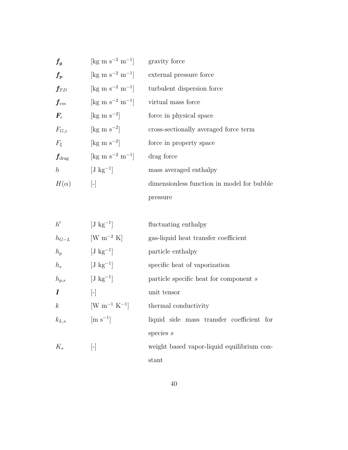| $f_g\,$                          | $\rm [kg \; m \; s^{-2} \; m^{-1}]$ | gravity force                              |
|----------------------------------|-------------------------------------|--------------------------------------------|
| $f_{p}$                          | $\rm [kg \; m \; s^{-2} \; m^{-1}]$ | external pressure force                    |
| $\boldsymbol{f_{TD}}$            | $\rm [kg \; m \; s^{-2} \; m^{-1}]$ | turbulent dispersion force                 |
| $\boldsymbol{f_{vm}}$            | $\rm [kg \; m \; s^{-2} \; m^{-1}]$ | virtual mass force                         |
| $\bm{F}_r$                       | $\rm [kg \; m \; s^{-2}]$           | force in physical space                    |
| $F_{G,z}$                        | $\rm [kg \; m \; s^{-2}]$           | cross-sectionally averaged force term      |
| $F_{\xi}$                        | $\rm [kg \; m \; s^{-2}]$           | force in property space                    |
| $\boldsymbol{f_{\mathrm{drag}}}$ | $\rm [kg \; m \; s^{-2} \; m^{-1}]$ | drag force                                 |
| $\hbar$                          | $[J \text{ kg}^{-1}]$               | mass averaged enthalpy                     |
| $H(\alpha)$                      | $\vert - \vert$                     | dimensionless function in model for bubble |
|                                  |                                     | pressure                                   |

| h'               | $[J \text{ kg}^{-1}]$          | fluctuating enthalpy                       |
|------------------|--------------------------------|--------------------------------------------|
| $h_{G-L}$        | $\rm [W~m^{-2}~K]$             | gas-liquid heat transfer coefficient       |
| $h_p$            | $[J \text{ kg}^{-1}]$          | particle enthalpy                          |
| $h_v$            | $[J \text{ kg}^{-1}]$          | specific heat of vaporization              |
| $h_{p,s}$        | $[J \text{ kg}^{-1}]$          | particle specific heat for component s     |
| $\boldsymbol{I}$ | $\mathsf{H}$                   | unit tensor                                |
| $\boldsymbol{k}$ | $\rm [W \; m^{-1} \; K^{-1}]$  | thermal conductivity                       |
| $k_{L,s}$        | $\left[\text{m s}^{-1}\right]$ | liquid side mass transfer coefficient for  |
|                  |                                | species $s$                                |
| $K_s$            | $\mathsf{L}$                   | weight based vapor-liquid equilibrium con- |
|                  |                                | stant                                      |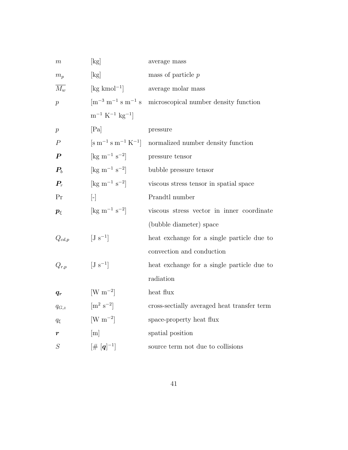| $\,m$              | $[\mathrm{kg}]$                                                | average mass                                |
|--------------------|----------------------------------------------------------------|---------------------------------------------|
| $m_p$              | $[\mathrm{kg}]$                                                | mass of particle $p$                        |
| $\overline{M_w}$   | $\lceil \text{kg kmol}^{-1} \rceil$                            | average molar mass                          |
| $\overline{p}$     | $\rm [m^{-3}~m^{-1}~s~m^{-1}~s]$                               | microscopical number density function       |
|                    | $\rm m^{-1}~K^{-1}~kg^{-1}$                                    |                                             |
| $\boldsymbol{p}$   | [Pa]                                                           | pressure                                    |
| $\boldsymbol{P}$   | $[\mathrm{m}^{-1} \mathrm{s} \mathrm{m}^{-1} \mathrm{K}^{-1}]$ | normalized number density function          |
| $\boldsymbol{P}$   | $[\text{kg m}^{-1} \text{ s}^{-2}]$                            | pressure tensor                             |
| $\boldsymbol{P_b}$ | [ $\text{kg m}^{-1} \text{ s}^{-2}$ ]                          | bubble pressure tensor                      |
| $P_r$              | [ $\text{kg m}^{-1} \text{ s}^{-2}$ ]                          | viscous stress tensor in spatial space      |
| Pr                 | $\begin{bmatrix} - \end{bmatrix}$                              | Prandtl number                              |
| $p_{\xi}$          | $[\text{kg m}^{-1} \text{ s}^{-2}]$                            | viscous stress vector in inner coordinate   |
|                    |                                                                | (bubble diameter) space                     |
| $Q_{cd,p}$         | $[J s^{-1}]$                                                   | heat exchange for a single particle due to  |
|                    |                                                                | convection and conduction                   |
| $Q_{r,p}$          | $[J s^{-1}]$                                                   | heat exchange for a single particle due to  |
|                    |                                                                | radiation                                   |
| $q_r$              | $\rm [W~m^{-2}]$                                               | heat flux                                   |
| $q_{G,z}$          | $\left[\text{m}^2 \text{ s}^{-2}\right]$                       | cross-sectially averaged heat transfer term |
| $q_{\xi}$          | $\rm [W~m^{-2}]$                                               | space-property heat flux                    |
| $\boldsymbol{r}$   | [m]                                                            | spatial position                            |
| $\cal S$           | $[\#\;[\bm{q}]^{-1}]$                                          | source term not due to collisions           |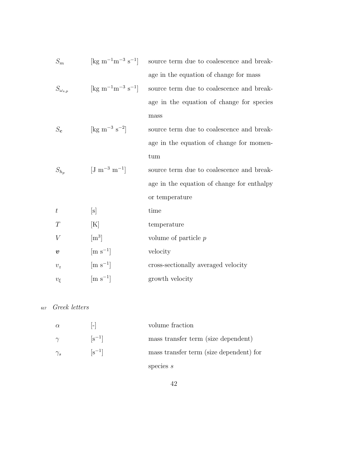| $S_m$              | $\left[\text{kg m}^{-1}\text{m}^{-3} \text{ s}^{-1}\right]$                      | source term due to coalescence and break-  |
|--------------------|----------------------------------------------------------------------------------|--------------------------------------------|
|                    |                                                                                  | age in the equation of change for mass     |
| $S_{\omega_{s,p}}$ | $\left[\mathrm{kg} \; \mathrm{m}^{-1} \mathrm{m}^{-3} \; \mathrm{s}^{-1}\right]$ | source term due to coalescence and break-  |
|                    |                                                                                  | age in the equation of change for species  |
|                    |                                                                                  | mass                                       |
| $S_{\bf c}$        | [kg m <sup>-3</sup> s <sup>-2</sup> ]                                            | source term due to coalescence and break-  |
|                    |                                                                                  | age in the equation of change for momen-   |
|                    |                                                                                  | tum                                        |
| $S_{h_p}$          | $\rm [J \; m^{-3} \; m^{-1}]$                                                    | source term due to coalescence and break-  |
|                    |                                                                                  | age in the equation of change for enthalpy |
|                    |                                                                                  | or temperature                             |
| $\boldsymbol{t}$   | $[\mathrm{s}]$                                                                   | time                                       |
| T                  | [K]                                                                              | temperature                                |
| V                  | $\rm [m^3]$                                                                      | volume of particle $p$                     |
| $\boldsymbol{v}$   | $\left[\text{m s}^{-1}\right]$                                                   | velocity                                   |
| $v_z$              | $\left[\text{m s}^{-1}\right]$                                                   | cross-sectionally averaged velocity        |
| $v_{\xi}$          | $\left[\text{m s}^{-1}\right]$                                                   | growth velocity                            |

<sup>617</sup> Greek letters

| $\alpha$   | $\left  - \right $     | volume fraction                         |
|------------|------------------------|-----------------------------------------|
| $\gamma$   | $\lceil s^{-1} \rceil$ | mass transfer term (size dependent)     |
| $\gamma_s$ | $\lceil s^{-1} \rceil$ | mass transfer term (size dependent) for |
|            |                        | species $s$                             |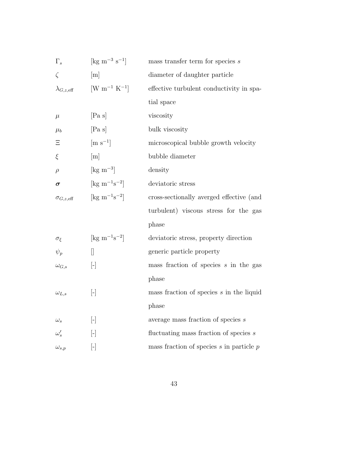| $\Gamma_s$                 | $\rm [kg \; m^{-3} \; s^{-1}]$         | mass transfer term for species $s$           |  |
|----------------------------|----------------------------------------|----------------------------------------------|--|
| $\zeta$                    | [m]                                    | diameter of daughter particle                |  |
| $\lambda_{G,z,\text{eff}}$ | $\rm [W~m^{-1}~K^{-1}]$                | effective turbulent conductivity in spa-     |  |
|                            |                                        | tial space                                   |  |
| $\mu$                      | [Pa s]                                 | viscosity                                    |  |
| $\mu_b$                    | [Pa s]                                 | bulk viscosity                               |  |
| Ξ                          | $\left[\text{m s}^{-1}\right]$         | microscopical bubble growth velocity         |  |
| ξ                          | [m]                                    | bubble diameter                              |  |
| $\rho$                     | $\rm [kg \; m^{-3}]$                   | density                                      |  |
| $\sigma$                   | $[\text{kg m}^{-1}\text{s}^{-2}]$      | deviatoric stress                            |  |
| $\sigma_{G,z,\text{eff}}$  | $[\text{kg m}^{-1}\text{s}^{-2}]$      | cross-sectionally averged effective (and     |  |
|                            |                                        | turbulent) viscous stress for the gas        |  |
|                            |                                        | phase                                        |  |
| $\sigma_{\xi}$             | [ $\text{kg m}^{-1}\text{s}^{-2}$ ]    | deviatoric stress, property direction        |  |
| $\psi_p$                   | $\begin{bmatrix} 1 \\ 1 \end{bmatrix}$ | generic particle property                    |  |
| $\omega_{G,s}$             | $[\cdot]$                              | mass fraction of species $s$ in the gas      |  |
|                            |                                        | phase                                        |  |
| $\omega_{L,s}$             | $[\cdot]$                              | mass fraction of species $s$ in the liquid   |  |
|                            |                                        | phase                                        |  |
| $\omega_s$                 | $[\cdot]$                              | average mass fraction of species $s$         |  |
| $\omega_s'$                | H                                      | fluctuating mass fraction of species s       |  |
| $\omega_{s,p}$             | $[\hbox{-}]$                           | mass fraction of species $s$ in particle $p$ |  |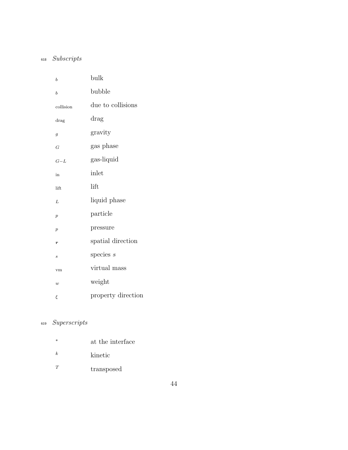# <sup>618</sup> Subscripts

| $\boldsymbol{b}$ | bulk               |
|------------------|--------------------|
| $\boldsymbol{b}$ | bubble             |
| collision        | due to collisions  |
| drag             | drag               |
| g                | gravity            |
| G                | gas phase          |
| $G-L$            | gas-liquid         |
| in               | inlet              |
| lift             | lift               |
| L                | liquid phase       |
| $\overline{p}$   | particle           |
| $\overline{p}$   | pressure           |
| $\boldsymbol{r}$ | spatial direction  |
| $\boldsymbol{s}$ | species $s$        |
| vm               | virtual mass       |
| $\boldsymbol{w}$ | weight             |
| ξ                | property direction |

# <sup>619</sup> Superscripts

| $\ast$ | at the interface |
|--------|------------------|
| k      | kinetic          |
| T      | transposed       |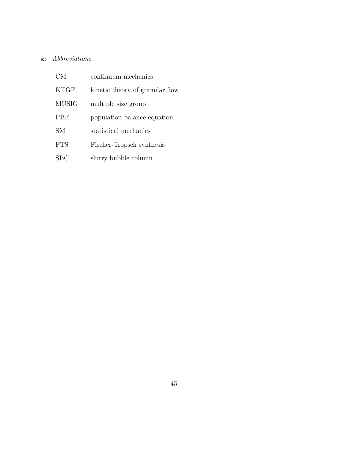# <sup>620</sup> Abbreviations

| CМ          | continuum mechanics             |
|-------------|---------------------------------|
| <b>KTGF</b> | kinetic theory of granular flow |
| MUSIG       | multiple size group             |
| <b>PBE</b>  | population balance equation     |
| SМ          | statistical mechanics           |
| <b>FTS</b>  | Fischer-Tropsch synthesis       |
| SBC:        | slurry bubble column            |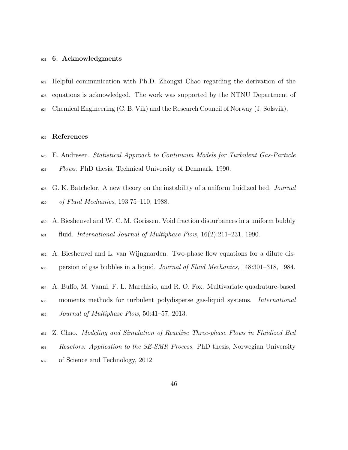#### 6. Acknowledgments

 Helpful communication with Ph.D. Zhongxi Chao regarding the derivation of the equations is acknowledged. The work was supported by the NTNU Department of Chemical Engineering (C. B. Vik) and the Research Council of Norway (J. Solsvik).

#### References

- <span id="page-45-1"></span> E. Andresen. Statistical Approach to Continuum Models for Turbulent Gas-Particle <sup>627</sup> Flows. PhD thesis, Technical University of Denmark, 1990.
- G. K. Batchelor. A new theory on the instability of a uniform fluidized bed. Journal of Fluid Mechanics, 193:75–110, 1988.
- A. Biesheuvel and W. C. M. Gorissen. Void fraction disturbances in a uniform bubbly  $f_{631}$  fluid. International Journal of Multiphase Flow,  $16(2):211-231$ , 1990.
- A. Biesheuvel and L. van Wijngaarden. Two-phase flow equations for a dilute dis-persion of gas bubbles in a liquid. Journal of Fluid Mechanics, 148:301–318, 1984.
- A. Buffo, M. Vanni, F. L. Marchisio, and R. O. Fox. Multivariate quadrature-based moments methods for turbulent polydisperse gas-liquid systems. International  $_{636}$  Journal of Multiphase Flow, 50:41–57, 2013.
- <span id="page-45-0"></span> Z. Chao. Modeling and Simulation of Reactive Three-phase Flows in Fluidized Bed <sup>638</sup> Reactors: Application to the SE-SMR Process. PhD thesis, Norwegian University of Science and Technology, 2012.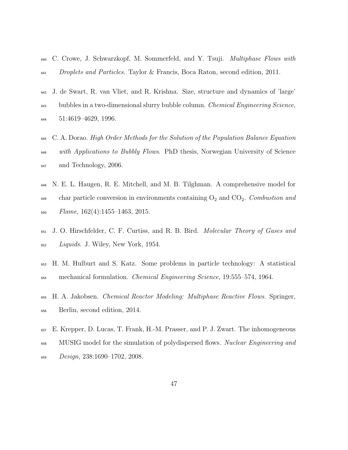- <span id="page-46-2"></span> C. Crowe, J. Schwarzkopf, M. Sommerfeld, and Y. Tsuji. Multiphase Flows with Droplets and Particles. Taylor & Francis, Boca Raton, second edition, 2011.
- J. de Swart, R. van Vliet, and R. Krishna. Size, structure and dynamics of 'large' bubbles in a two-dimensional slurry bubble column. Chemical Engineering Science, 51:4619–4629, 1996.
- <span id="page-46-0"></span> C. A. Dorao. High Order Methods for the Solution of the Population Balance Equation <sup>646</sup> with Applications to Bubbly Flows. PhD thesis, Norwegian University of Science <sup>647</sup> and Technology, 2006.
- <span id="page-46-3"></span> N. E. L. Haugen, R. E. Mitchell, and M. B. Tilghman. A comprehensive model for char particle conversion in environments containing  $O_2$  and  $CO_2$ . Combustion and  $F$ *lame*,  $162(4):1455-1463, 2015$ .
- J. O. Hirschfelder, C. F. Curtiss, and R. B. Bird. Molecular Theory of Gases and Liquids. J. Wiley, New York, 1954.
- H. M. Hulburt and S. Katz. Some problems in particle technology: A statistical mechanical formulation. Chemical Engineering Science, 19:555–574, 1964.
- <span id="page-46-1"></span> H. A. Jakobsen. Chemical Reactor Modeling: Multiphase Reactive Flows. Springer, Berlin, second edition, 2014.
- E. Krepper, D. Lucas, T. Frank, H.-M. Prasser, and P. J. Zwart. The inhomogeneous <sup>658</sup> MUSIG model for the simulation of polydispersed flows. *Nuclear Engineering and* Design, 238:1690–1702, 2008.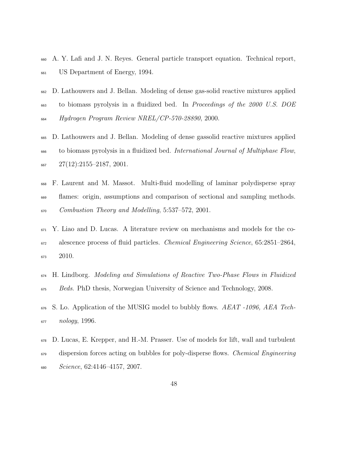- A. Y. Lafi and J. N. Reyes. General particle transport equation. Technical report, US Department of Energy, 1994.
- <span id="page-47-0"></span>D. Lathouwers and J. Bellan. Modeling of dense gas-solid reactive mixtures applied
- to biomass pyrolysis in a fluidized bed. In Proceedings of the 2000 U.S. DOE Hydrogen Program Review NREL/CP-570-28890, 2000.
- <span id="page-47-2"></span> D. Lathouwers and J. Bellan. Modeling of dense gassolid reactive mixtures applied to biomass pyrolysis in a fluidized bed. International Journal of Multiphase Flow,  $667 \qquad 27(12):2155-2187,2001.$
- <span id="page-47-1"></span> F. Laurent and M. Massot. Multi-fluid modelling of laminar polydisperse spray flames: origin, assumptions and comparison of sectional and sampling methods. Combustion Theory and Modelling, 5:537–572, 2001.
- Y. Liao and D. Lucas. A literature review on mechanisms and models for the co- alescence process of fluid particles. Chemical Engineering Science, 65:2851–2864, 2010.
- H. Lindborg. Modeling and Simulations of Reactive Two-Phase Flows in Fluidized Beds. PhD thesis, Norwegian University of Science and Technology, 2008.
- 676 S. Lo. Application of the MUSIG model to bubbly flows. AEAT -1096, AEA Tech- $_{677}$   $nology, 1996.$
- D. Lucas, E. Krepper, and H.-M. Prasser. Use of models for lift, wall and turbulent dispersion forces acting on bubbles for poly-disperse flows. Chemical Engineering  $s_{680}$  Science, 62:4146-4157, 2007.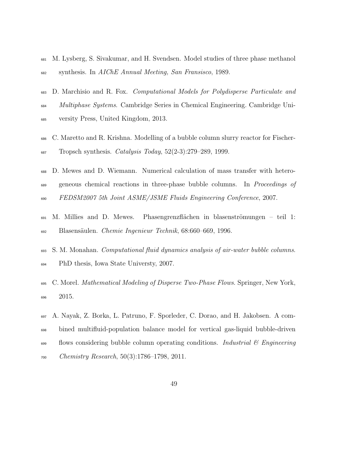- M. Lysberg, S. Sivakumar, and H. Svendsen. Model studies of three phase methanol synthesis. In AIChE Annual Meeting, San Fransisco, 1989.
- <span id="page-48-0"></span>D. Marchisio and R. Fox. Computational Models for Polydisperse Particulate and
- Multiphase Systems. Cambridge Series in Chemical Engineering. Cambridge Uni-
- versity Press, United Kingdom, 2013.
- C. Maretto and R. Krishna. Modelling of a bubble column slurry reactor for Fischer-Tropsch synthesis. Catalysis Today, 52(2-3):279–289, 1999.
- D. Mewes and D. Wiemann. Numerical calculation of mass transfer with hetero- geneous chemical reactions in three-phase bubble columns. In Proceedings of FEDSM2007 5th Joint ASME/JSME Fluids Engineering Conference, 2007.
- M. Millies and D. Mewes. Phasengrenzflächen in blasenströmungen teil 1: 692 Blasensäulen. Chemie Ingenieur Technik, 68:660–669, 1996.
- S. M. Monahan. Computational fluid dynamics analysis of air-water bubble columns. PhD thesis, Iowa State Universty, 2007.
- C. Morel. Mathematical Modeling of Disperse Two-Phase Flows. Springer, New York, 2015.
- A. Nayak, Z. Borka, L. Patruno, F. Sporleder, C. Dorao, and H. Jakobsen. A com- bined multifluid-population balance model for vertical gas-liquid bubble-driven  $\frac{699}{100}$  flows considering bubble column operating conditions. Industrial  $\frac{6}{100}$  Engineering Chemistry Research, 50(3):1786–1798, 2011.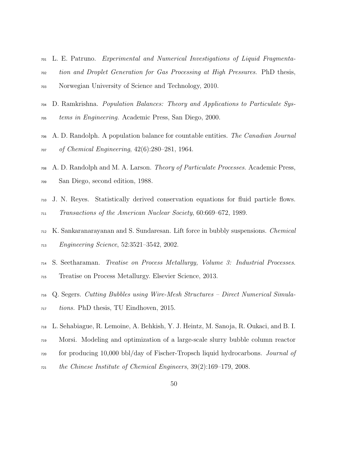- L. E. Patruno. Experimental and Numerical Investigations of Liquid Fragmenta- tion and Droplet Generation for Gas Processing at High Pressures. PhD thesis, Norwegian University of Science and Technology, 2010.
- D. Ramkrishna. Population Balances: Theory and Applications to Particulate Sys-tems in Engineering. Academic Press, San Diego, 2000.
- A. D. Randolph. A population balance for countable entities. The Canadian Journal of Chemical Engineering, 42(6):280–281, 1964.
- A. D. Randolph and M. A. Larson. Theory of Particulate Processes. Academic Press, San Diego, second edition, 1988.
- J. N. Reyes. Statistically derived conservation equations for fluid particle flows. Transactions of the American Nuclear Society, 60:669–672, 1989.
- K. Sankaranarayanan and S. Sundaresan. Lift force in bubbly suspensions. Chemical Engineering Science, 52:3521–3542, 2002.
- <span id="page-49-0"></span> S. Seetharaman. Treatise on Process Metallurgy, Volume 3: Industrial Processes. Treatise on Process Metallurgy. Elsevier Science, 2013.
- Q. Segers. Cutting Bubbles using Wire-Mesh Structures Direct Numerical Simula-<sup>717</sup> tions. PhD thesis, TU Eindhoven, 2015.
- L. Sehabiague, R. Lemoine, A. Behkish, Y. J. Heintz, M. Sanoja, R. Oukaci, and B. I.
- Morsi. Modeling and optimization of a large-scale slurry bubble column reactor
- for producing 10,000 bbl/day of Fischer-Tropsch liquid hydrocarbons. Journal of
- the Chinese Institute of Chemical Engineers, 39(2):169–179, 2008.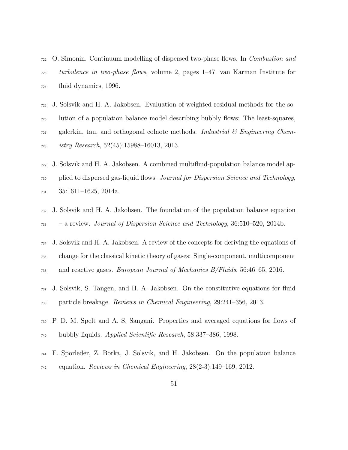- <span id="page-50-0"></span> O. Simonin. Continuum modelling of dispersed two-phase flows. In Combustion and turbulence in two-phase flows, volume 2, pages 1–47. van Karman Institute for fluid dynamics, 1996.
- J. Solsvik and H. A. Jakobsen. Evaluation of weighted residual methods for the so- lution of a population balance model describing bubbly flows: The least-squares, galerkin, tau, and orthogonal colnote methods. *Industrial*  $\&$  *Engineering Chem-*istry Research, 52(45):15988–16013, 2013.
- J. Solsvik and H. A. Jakobsen. A combined multifluid-population balance model ap- plied to dispersed gas-liquid flows. Journal for Dispersion Science and Technology, 35:1611–1625, 2014a.
- J. Solsvik and H. A. Jakobsen. The foundation of the population balance equation – a review. Journal of Dispersion Science and Technology, 36:510–520, 2014b.
- J. Solsvik and H. A. Jakobsen. A review of the concepts for deriving the equations of change for the classical kinetic theory of gases: Single-component, multicomponent and reactive gases. European Journal of Mechanics B/Fluids, 56:46–65, 2016.
- J. Solsvik, S. Tangen, and H. A. Jakobsen. On the constitutive equations for fluid particle breakage. Reviews in Chemical Engineering, 29:241–356, 2013.
- P. D. M. Spelt and A. S. Sangani. Properties and averaged equations for flows of bubbly liquids. Applied Scientific Research, 58:337–386, 1998.
- F. Sporleder, Z. Borka, J. Solsvik, and H. Jakobsen. On the population balance  $_{742}$  equation. Reviews in Chemical Engineering,  $28(2-3):149-169$ , 2012.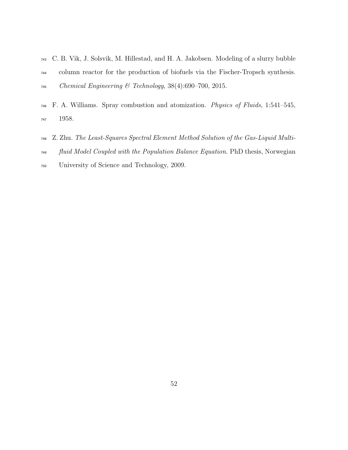- <span id="page-51-0"></span> C. B. Vik, J. Solsvik, M. Hillestad, and H. A. Jakobsen. Modeling of a slurry bubble column reactor for the production of biofuels via the Fischer-Tropsch synthesis. Chemical Engineering & Technology, 38(4):690–700, 2015.
- F. A. Williams. Spray combustion and atomization. Physics of Fluids, 1:541–545, 1958.
- Z. Zhu. The Least-Squares Spectral Element Method Solution of the Gas-Liquid Multi-
- fluid Model Coupled with the Population Balance Equation. PhD thesis, Norwegian
- University of Science and Technology, 2009.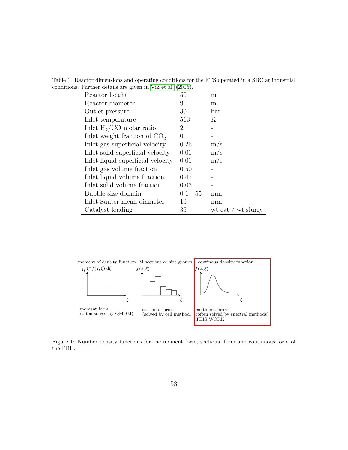|  | Table 1: Reactor dimensions and operating conditions for the FTS operated in a SBC at industrial |  |  |
|--|--------------------------------------------------------------------------------------------------|--|--|
|  | conditions. Further details are given in Vik et al. (2015).                                      |  |  |

| Reactor height                    | 50         | m                       |
|-----------------------------------|------------|-------------------------|
| Reactor diameter                  | 9          | m                       |
| Outlet pressure                   | 30         | bar                     |
| Inlet temperature                 | 513        | Κ                       |
| Inlet $H_2/CO$ molar ratio        | 2          |                         |
| Inlet weight fraction of $CO2$    | (0.1)      |                         |
| Inlet gas superficial velocity    | 0.26       | m/s                     |
| In the solid superficial velocity | 0.01       | $\rm m/s$               |
| Inlet liquid superficial velocity | 0.01       | m/s                     |
| In let gas volume fraction        | 0.50       |                         |
| In the liquid volume fraction     | 0.47       |                         |
| Inlet solid volume fraction       | 0.03       |                         |
| Bubble size domain                | $0.1 - 55$ | mm                      |
| Inlet Sauter mean diameter        | 10         | mm                      |
| Catalyst loading                  | 35         | wt slurry<br>wt cat $/$ |

 $\overline{a}$ 



Figure 1: Number density functions for the moment form, sectional form and continuous form of the PBE.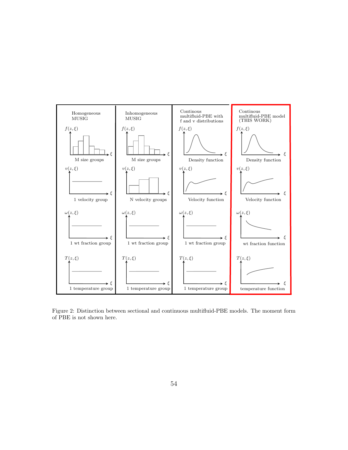

Figure 2: Distinction between sectional and continuous multifluid-PBE models. The moment form of PBE is not shown here.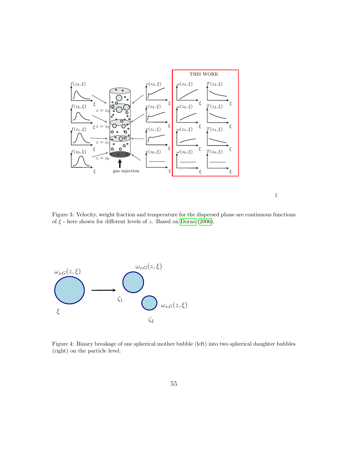

ξ

Figure 3: Velocity, weight fraction and temperature for the dispersed phase are continuous functions of  $\xi$  - here shown for different levels of z. Based on [Dorao](#page-46-0) [\(2006\)](#page-46-0).



Figure 4: Binary breakage of one spherical mother bubble (left) into two spherical daughter bubbles (right) on the particle level.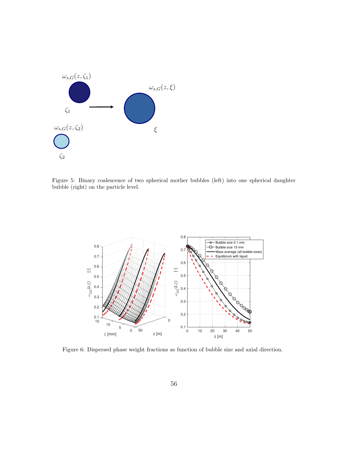

Figure 5: Binary coalescence of two spherical mother bubbles (left) into one spherical daughter bubble (right) on the particle level.



Figure 6: Dispersed phase weight fractions as function of bubble size and axial direction.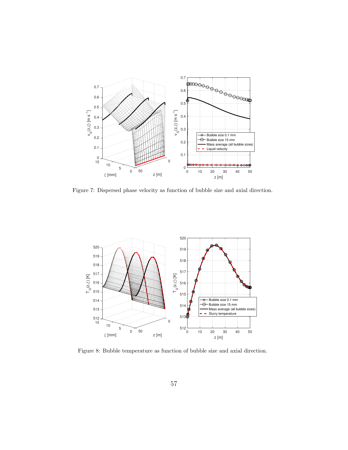

Figure 7: Dispersed phase velocity as function of bubble size and axial direction.



Figure 8: Bubble temperature as function of bubble size and axial direction.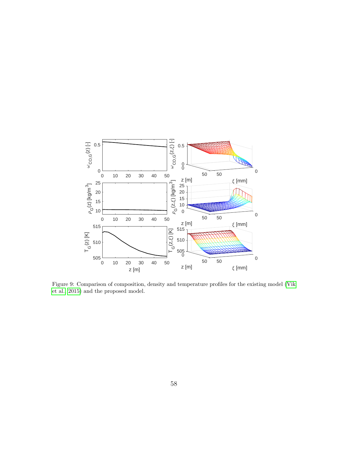

Figure 9: Comparison of composition, density and temperature profiles for the existing model [\(Vik](#page-51-0) [et al., 2015\)](#page-51-0) and the proposed model.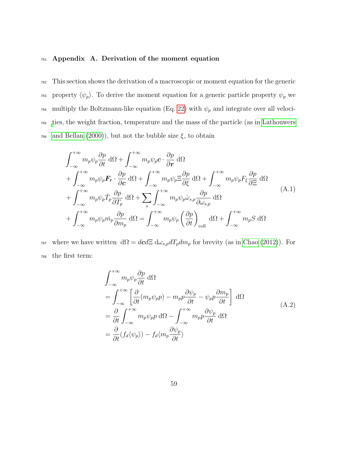#### <sup>751</sup> Appendix A. Derivation of the moment equation

<sup>752</sup> This section shows the derivation of a macroscopic or moment equation for the generic <sup>753</sup> property  $\langle \psi_p \rangle$ . To derive the moment equation for a generic particle property  $\psi_p$  we <sup>754</sup> multiply the Boltzmann-like equation (Eq. [22\)](#page-12-0) with  $\psi_p$  and integrate over all veloci-<sup>755</sup> [t](#page-47-0)ies, the weight fraction, temperature and the mass of the particle (as in [Lathouwers](#page-47-0) <sup>756</sup> [and Bellan \(2000\)](#page-47-0)), but not the bubble size  $\xi$ , to obtain

<span id="page-58-0"></span>
$$
\int_{-\infty}^{+\infty} m_p \psi_p \frac{\partial p}{\partial t} d\Omega + \int_{-\infty}^{+\infty} m_p \psi_p \mathbf{c} \cdot \frac{\partial p}{\partial \mathbf{r}} d\Omega \n+ \int_{-\infty}^{+\infty} m_p \psi_p \mathbf{F}_r \cdot \frac{\partial p}{\partial \mathbf{c}} d\Omega + \int_{-\infty}^{+\infty} m_p \psi_p \Xi \frac{\partial p}{\partial \xi} d\Omega + \int_{-\infty}^{+\infty} m_p \psi_p F_{\xi} \frac{\partial p}{\partial \Xi} d\Omega \n+ \int_{-\infty}^{+\infty} m_p \psi_p \dot{T}_p \frac{\partial p}{\partial T_p} d\Omega + \sum_s \int_{-\infty}^{+\infty} m_p \psi_p \dot{\omega}_{s,p} \frac{\partial p}{\partial \omega_{s,p}} d\Omega \n+ \int_{-\infty}^{+\infty} m_p \psi_p \dot{m}_p \frac{\partial p}{\partial m_p} d\Omega = \int_{-\infty}^{+\infty} m_p \psi_p \left(\frac{\partial p}{\partial t}\right)_{\text{coll}} d\Omega + \int_{-\infty}^{+\infty} m_p S d\Omega
$$
\n(A.1)

<sup>757</sup> where we have written  $d\Omega = d\mathbf{c}d\Xi d\omega_{s,p}dT_pdm_p$  for brevity (as in [Chao \(2012\)](#page-45-0)). For <sup>758</sup> the first term:

$$
\int_{-\infty}^{+\infty} m_p \psi_p \frac{\partial p}{\partial t} d\Omega
$$
\n
$$
= \int_{-\infty}^{+\infty} \left[ \frac{\partial}{\partial t} (m_p \psi_p p) - m_p p \frac{\partial \psi_p}{\partial t} - \psi_p p \frac{\partial m_p}{\partial t} \right] d\Omega
$$
\n
$$
= \frac{\partial}{\partial t} \int_{-\infty}^{+\infty} m_p \psi_p p d\Omega - \int_{-\infty}^{+\infty} m_p p \frac{\partial \psi_p}{\partial t} d\Omega
$$
\n
$$
= \frac{\partial}{\partial t} (f_d \langle \psi_p \rangle) - f_d \langle m_p \frac{\partial \psi_p}{\partial t} \rangle
$$
\n(A.2)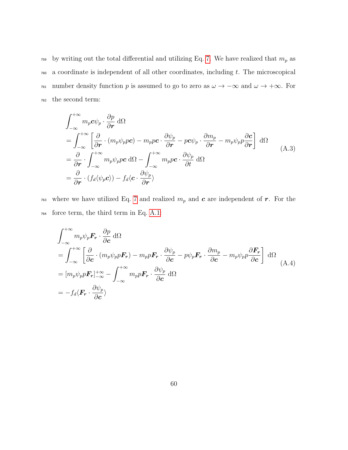<sup>759</sup> by writing out the total differential and utilizing Eq. [7.](#page-9-0) We have realized that  $m_p$  as  $760$  a coordinate is independent of all other coordinates, including t. The microscopical <sup>761</sup> number density function p is assumed to go to zero as  $\omega \to -\infty$  and  $\omega \to +\infty$ . For <sup>762</sup> the second term:

$$
\int_{-\infty}^{+\infty} m_p c \psi_p \cdot \frac{\partial p}{\partial r} d\Omega
$$
\n
$$
= \int_{-\infty}^{+\infty} \left[ \frac{\partial}{\partial r} \cdot (m_p \psi_p pc) - m_p pc \cdot \frac{\partial \psi_p}{\partial r} - pc \psi_p \cdot \frac{\partial m_p}{\partial r} - m_p \psi_p p \frac{\partial c}{\partial r} \right] d\Omega
$$
\n
$$
= \frac{\partial}{\partial r} \cdot \int_{-\infty}^{+\infty} m_p \psi_p pc d\Omega - \int_{-\infty}^{+\infty} m_p pc \cdot \frac{\partial \psi_p}{\partial t} d\Omega
$$
\n
$$
= \frac{\partial}{\partial r} \cdot (f_d \langle \psi_p c \rangle) - f_d \langle c \cdot \frac{\partial \psi_p}{\partial r} \rangle
$$
\n(A.3)

<sup>763</sup> where we have utilized Eq. [7](#page-9-0) and realized  $m_p$  and **c** are independent of **r**. For the <sup>764</sup> force term, the third term in Eq. [A.1:](#page-58-0)

$$
\int_{-\infty}^{+\infty} m_p \psi_p \mathbf{F}_r \cdot \frac{\partial p}{\partial c} d\Omega
$$
\n
$$
= \int_{-\infty}^{+\infty} \left[ \frac{\partial}{\partial c} \cdot (m_p \psi_p \mathbf{F}_r) - m_p p \mathbf{F}_r \cdot \frac{\partial \psi_p}{\partial c} - p \psi_p \mathbf{F}_r \cdot \frac{\partial m_p}{\partial c} - m_p \psi_p p \frac{\partial \mathbf{F}_r}{\partial c} \right] d\Omega
$$
\n
$$
= [m_p \psi_p p \mathbf{F}_r]_{-\infty}^{+\infty} - \int_{-\infty}^{+\infty} m_p p \mathbf{F}_r \cdot \frac{\partial \psi_p}{\partial c} d\Omega
$$
\n
$$
= -f_d \langle \mathbf{F}_r \cdot \frac{\partial \psi_p}{\partial c} \rangle
$$
\n(M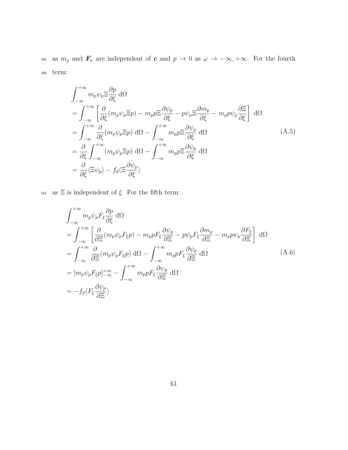<sup>765</sup> as  $m_p$  and  $\mathbf{F}_r$  are independent of c and  $p \to 0$  as  $\omega \to -\infty, +\infty$ . For the fourth <sup>766</sup> term:

$$
\int_{-\infty}^{+\infty} m_p \psi_p \Xi \frac{\partial p}{\partial \xi} d\Omega
$$
\n
$$
= \int_{-\infty}^{+\infty} \left[ \frac{\partial}{\partial \xi} (m_p \psi_p \Xi p) - m_p p \Xi \frac{\partial \psi_p}{\partial \xi} - p \psi_p \Xi \frac{\partial m_p}{\partial \xi} - m_p p \psi_p \frac{\partial \Xi}{\partial \xi} \right] d\Omega
$$
\n
$$
= \int_{-\infty}^{+\infty} \frac{\partial}{\partial \xi} (m_p \psi_p \Xi p) d\Omega - \int_{-\infty}^{+\infty} m_p p \Xi \frac{\partial \psi_p}{\partial \xi} d\Omega
$$
\n
$$
= \frac{\partial}{\partial \xi} \int_{-\infty}^{+\infty} (m_p \psi_p \Xi p) d\Omega - \int_{-\infty}^{+\infty} m_p p \Xi \frac{\partial \psi_p}{\partial \xi} d\Omega
$$
\n
$$
= \frac{\partial}{\partial \xi} \langle \Xi \psi_p \rangle - f_d \langle \Xi \frac{\partial \psi_p}{\partial \xi} \rangle
$$
\n(A.5)

 $_{767}~$  as  $\Xi$  is independent of  $\xi.$  For the fifth term:

$$
\int_{-\infty}^{+\infty} m_p \psi_p F_{\xi} \frac{\partial p}{\partial \xi} d\Omega
$$
\n
$$
= \int_{-\infty}^{+\infty} \left[ \frac{\partial}{\partial \Xi} (m_p \psi_p F_{\xi} p) - m_p p F_{\xi} \frac{\partial \psi_p}{\partial \Xi} - p \psi_p F_{\xi} \frac{\partial m_p}{\partial \Xi} - m_p p \psi_p \frac{\partial F_{\xi}}{\partial \Xi} \right] d\Omega
$$
\n
$$
= \int_{-\infty}^{+\infty} \frac{\partial}{\partial \Xi} (m_p \psi_p F_{\xi} p) d\Omega - \int_{-\infty}^{+\infty} m_p p F_{\xi} \frac{\partial \psi_p}{\partial \Xi} d\Omega
$$
\n
$$
= [m_p \psi_p F_{\xi} p]_{-\infty}^{+\infty} - \int_{-\infty}^{+\infty} m_p p F_{\xi} \frac{\partial \psi_p}{\partial \Xi} d\Omega
$$
\n
$$
= -f_d \langle F_{\xi} \frac{\partial \psi_p}{\partial \Xi} \rangle
$$
\n(A.6)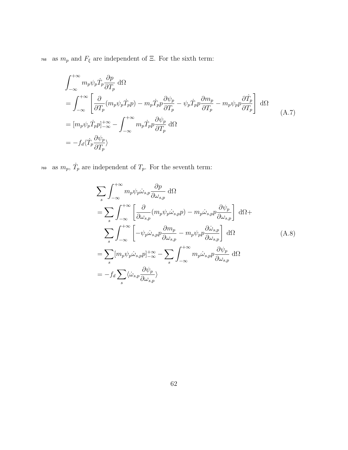$_{768}$  as  $m_p$  and  $F_\xi$  are independent of Ξ. For the sixth term:

$$
\int_{-\infty}^{+\infty} m_p \psi_p \dot{T}_p \frac{\partial p}{\partial T_p} d\Omega
$$
\n
$$
= \int_{-\infty}^{+\infty} \left[ \frac{\partial}{\partial T_p} (m_p \psi_p \dot{T}_p p) - m_p \dot{T}_p p \frac{\partial \psi_p}{\partial T_p} - \psi_p \dot{T}_p p \frac{\partial m_p}{\partial T_p} - m_p \psi_p p \frac{\partial \dot{T}_p}{\partial T_p} \right] d\Omega
$$
\n
$$
= [m_p \psi_p \dot{T}_p p]_{-\infty}^{+\infty} - \int_{-\infty}^{+\infty} m_p \dot{T}_p p \frac{\partial \psi_p}{\partial T_p} d\Omega
$$
\n
$$
= -f_d \langle \dot{T}_p \frac{\partial \psi_p}{\partial T_p} \rangle
$$
\n(A.7)

<sup>769</sup> as  $m_p$ ,  $\dot{T}_p$  are independent of  $T_p$ . For the seventh term:

$$
\sum_{s} \int_{-\infty}^{+\infty} m_{p} \psi_{p} \dot{\omega}_{s,p} \frac{\partial p}{\partial \omega_{s,p}} d\Omega
$$
  
\n
$$
= \sum_{s} \int_{-\infty}^{+\infty} \left[ \frac{\partial}{\partial \omega_{s,p}} (m_{p} \psi_{p} \dot{\omega}_{s,p} p) - m_{p} \dot{\omega}_{s,p} p \frac{\partial \psi_{p}}{\partial \omega_{s,p}} \right] d\Omega +
$$
  
\n
$$
\sum_{s} \int_{-\infty}^{+\infty} \left[ -\psi_{p} \dot{\omega}_{s,p} p \frac{\partial m_{p}}{\partial \omega_{s,p}} - m_{p} \psi_{p} p \frac{\partial \dot{\omega}_{s,p}}{\partial \omega_{s,p}} \right] d\Omega
$$
  
\n
$$
= \sum_{s} [m_{p} \psi_{p} \dot{\omega}_{s,p} p]_{-\infty}^{+\infty} - \sum_{s} \int_{-\infty}^{+\infty} m_{p} \dot{\omega}_{s,p} p \frac{\partial \psi_{p}}{\partial \omega_{s,p}} d\Omega
$$
  
\n
$$
= -f_{d} \sum_{s} \langle \dot{\omega}_{s,p} \frac{\partial \psi_{p}}{\partial \omega_{s,p}} \rangle
$$
  
\n(A.8)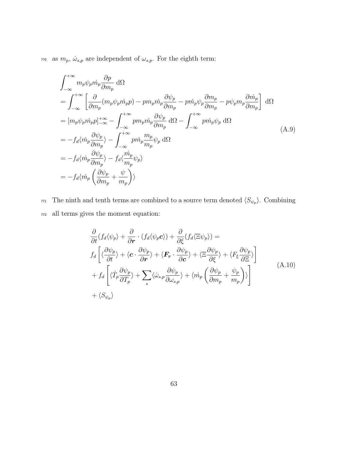$_{770}$  as  $m_p,\,\dot{\omega}_{s,p}$  are independent of  $\omega_{s,p}.$  For the eighth term:

$$
\int_{-\infty}^{+\infty} m_p \psi_p \dot{m}_p \frac{\partial p}{\partial m_p} d\Omega
$$
\n
$$
= \int_{-\infty}^{+\infty} \left[ \frac{\partial}{\partial m_p} (m_p \psi_p \dot{m}_p p) - p m_p \dot{m}_p \frac{\partial \psi_p}{\partial m_p} - p \dot{m}_p \psi_p \frac{\partial m_p}{\partial m_p} - p \psi_p m_p \frac{\partial m_p}{\partial m_p} \right] d\Omega
$$
\n
$$
= [m_p \psi_p \dot{m}_p p]_{-\infty}^{+\infty} - \int_{-\infty}^{+\infty} p m_p \dot{m}_p \frac{\partial \psi_p}{\partial m_p} d\Omega - \int_{-\infty}^{+\infty} p \dot{m}_p \psi_p d\Omega
$$
\n
$$
= -f_d \langle \dot{m}_p \frac{\partial \psi_p}{\partial m_p} \rangle - \int_{-\infty}^{+\infty} p \dot{m}_p \frac{m_p}{m_p} \psi_p d\Omega
$$
\n
$$
= -f_d \langle \dot{m}_p \frac{\partial \psi_p}{\partial m_p} \rangle - f_d \langle \frac{\dot{m}_p}{m_p} \psi_p \rangle
$$
\n
$$
= -f_d \langle \dot{m}_p \left( \frac{\partial \psi_p}{\partial m_p} + \frac{\psi}{m_p} \right) \rangle
$$
\n(A.9)

 $\tau$ <sup>71</sup> The ninth and tenth terms are combined to a source term denoted  $\langle S_{\psi_p} \rangle$ . Combining <sup>772</sup> all terms gives the moment equation:

$$
\frac{\partial}{\partial t}(f_d \langle \psi_p \rangle + \frac{\partial}{\partial r} \cdot (f_d \langle \psi_p \mathbf{c} \rangle) + \frac{\partial}{\partial \xi}(f_d \langle \Xi \psi_p \rangle) =
$$
\n
$$
f_d \left[ \langle \frac{\partial \psi_p}{\partial t} \rangle + \langle \mathbf{c} \cdot \frac{\partial \psi_p}{\partial r} \rangle + \langle \mathbf{F}_r \cdot \frac{\partial \psi_p}{\partial c} \rangle + \langle \Xi \frac{\partial \psi_p}{\partial \xi} \rangle + \langle F_\xi \frac{\partial \psi_p}{\partial \Xi} \rangle \right]
$$
\n
$$
+ f_d \left[ \langle \dot{T}_p \frac{\partial \psi_p}{\partial T_p} \rangle + \sum_s \langle \dot{\omega}_{s,p} \frac{\partial \psi_p}{\partial \omega_{s,p}} \rangle + \langle \dot{m}_p \left( \frac{\partial \psi_p}{\partial m_p} + \frac{\psi_p}{m_p} \right) \rangle \right]
$$
\n
$$
+ \langle S_{\psi_p} \rangle
$$
\n(A.10)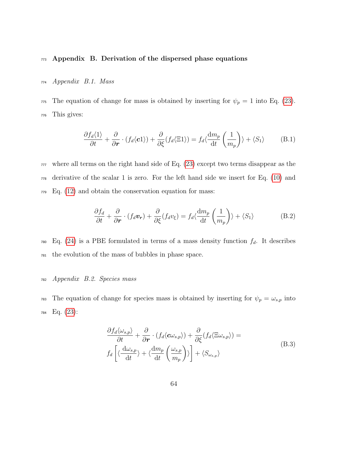#### $773$  Appendix B. Derivation of the dispersed phase equations

#### <sup>774</sup> Appendix B.1. Mass

775 The equation of change for mass is obtained by inserting for  $\psi_p = 1$  into Eq. [\(23\)](#page-13-0). <sup>776</sup> This gives:

$$
\frac{\partial f_d \langle 1 \rangle}{\partial t} + \frac{\partial}{\partial r} \cdot (f_d \langle c1 \rangle) + \frac{\partial}{\partial \xi} (f_d \langle \Xi 1 \rangle) = f_d \langle \frac{\mathrm{d} m_p}{\mathrm{d} t} \left( \frac{1}{m_p} \right) \rangle + \langle S_1 \rangle \tag{B.1}
$$

 $777$  where all terms on the right hand side of Eq.  $(23)$  except two terms disappear as the <sup>778</sup> derivative of the scalar 1 is zero. For the left hand side we insert for Eq. [\(10\)](#page-10-0) and  $F<sub>779</sub>$  Eq. [\(12\)](#page-10-1) and obtain the conservation equation for mass:

$$
\frac{\partial f_d}{\partial t} + \frac{\partial}{\partial \mathbf{r}} \cdot (f_d \mathbf{v_r}) + \frac{\partial}{\partial \xi} (f_d v_\xi) = f_d \langle \frac{\mathrm{d} m_p}{\mathrm{d} t} \left( \frac{1}{m_p} \right) \rangle + \langle S_1 \rangle \tag{B.2}
$$

780 Eq. [\(24\)](#page-14-0) is a PBE formulated in terms of a mass density function  $f_d$ . It describes <sup>781</sup> the evolution of the mass of bubbles in phase space.

## <sup>782</sup> Appendix B.2. Species mass

<span id="page-63-0"></span><sup>783</sup> The equation of change for species mass is obtained by inserting for  $\psi_p = \omega_{s,p}$  into <sup>784</sup> Eq. [\(23\)](#page-13-0):

$$
\frac{\partial f_d \langle \omega_{s,p} \rangle}{\partial t} + \frac{\partial}{\partial r} \cdot (f_d \langle c \omega_{s,p} \rangle) + \frac{\partial}{\partial \xi} (f_d \langle \Xi \omega_{s,p} \rangle) =
$$
\n
$$
f_d \left[ \langle \frac{d \omega_{s,p}}{dt} \rangle + \langle \frac{dm_p}{dt} \left( \frac{\omega_{s,p}}{m_p} \right) \rangle \right] + \langle S_{\omega_{s,p}} \rangle \tag{B.3}
$$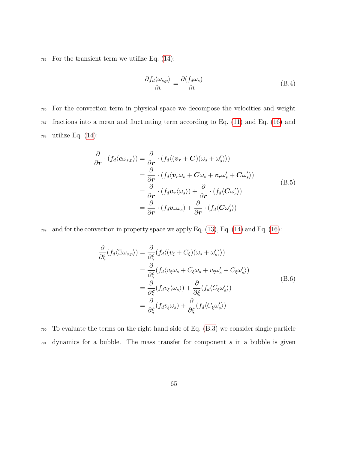$785$  For the transient term we utilize Eq.  $(14)$ :

$$
\frac{\partial f_d \langle \omega_{s,p} \rangle}{\partial t} = \frac{\partial (f_d \omega_s)}{\partial t}
$$
 (B.4)

<sup>786</sup> For the convection term in physical space we decompose the velocities and weight  $\tau_{37}$  fractions into a mean and fluctuating term according to Eq. [\(11\)](#page-10-2) and Eq. [\(16\)](#page-11-1) and  $788$  utilize Eq.  $(14)$ :

$$
\frac{\partial}{\partial \boldsymbol{r}} \cdot (f_d \langle c\omega_{s,p} \rangle) = \frac{\partial}{\partial \boldsymbol{r}} \cdot (f_d \langle (\boldsymbol{v_r} + \boldsymbol{C})(\omega_s + \omega_s') \rangle) \n= \frac{\partial}{\partial \boldsymbol{r}} \cdot (f_d \langle \boldsymbol{v_r} \omega_s + \boldsymbol{C} \omega_s + \boldsymbol{v_r} \omega_s' + \boldsymbol{C} \omega_s' \rangle) \n= \frac{\partial}{\partial \boldsymbol{r}} \cdot (f_d \boldsymbol{v_r} \langle \omega_s \rangle) + \frac{\partial}{\partial \boldsymbol{r}} \cdot (f_d \langle \boldsymbol{C} \omega_s' \rangle) \n= \frac{\partial}{\partial \boldsymbol{r}} \cdot (f_d \boldsymbol{v_r} \omega_s) + \frac{\partial}{\partial \boldsymbol{r}} \cdot (f_d \langle \boldsymbol{C} \omega_s' \rangle)
$$
\n(S.5)

 $\tau$ 89 and for the convection in property space we apply Eq. [\(13\)](#page-10-3), Eq. [\(14\)](#page-11-0) and Eq. [\(16\)](#page-11-1):

$$
\frac{\partial}{\partial \xi} (f_d \langle \Xi \omega_{s,p} \rangle) = \frac{\partial}{\partial \xi} (f_d \langle (v_{\xi} + C_{\xi})(\omega_s + \omega_s') \rangle)
$$
  
\n
$$
= \frac{\partial}{\partial \xi} (f_d \langle v_{\xi} \omega_s + C_{\xi} \omega_s + v_{\xi} \omega_s' + C_{\xi} \omega_s' \rangle)
$$
  
\n
$$
= \frac{\partial}{\partial \xi} (f_d v_{\xi} \langle \omega_s \rangle) + \frac{\partial}{\partial \xi} (f_d \langle C_{\xi} \omega_s' \rangle)
$$
  
\n
$$
= \frac{\partial}{\partial \xi} (f_d v_{\xi} \omega_s) + \frac{\partial}{\partial \xi} (f_d \langle C_{\xi} \omega_s' \rangle)
$$
 (B.6)

<sup>790</sup> To evaluate the terms on the right hand side of Eq. [\(B.3\)](#page-63-0) we consider single particle  $791$  dynamics for a bubble. The mass transfer for component s in a bubble is given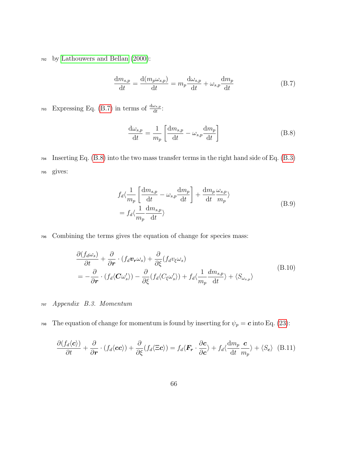<sup>792</sup> by [Lathouwers and Bellan \(2000\)](#page-47-0):

<span id="page-65-0"></span>
$$
\frac{dm_{s,p}}{dt} = \frac{d(m_p \omega_{s,p})}{dt} = m_p \frac{d\omega_{s,p}}{dt} + \omega_{s,p} \frac{dm_p}{dt}
$$
(B.7)

 $\mathbb{E}$ zy Expressing Eq. [\(B.7\)](#page-65-0) in terms of  $\frac{d\omega_{s,p}}{dt}$ :

<span id="page-65-1"></span>
$$
\frac{\mathrm{d}\omega_{s,p}}{\mathrm{d}t} = \frac{1}{m_p} \left[ \frac{\mathrm{d}m_{s,p}}{\mathrm{d}t} - \omega_{s,p} \frac{\mathrm{d}m_p}{\mathrm{d}t} \right]
$$
(B.8)

<sup>794</sup> Inserting Eq. [\(B.8\)](#page-65-1) into the two mass transfer terms in the right hand side of Eq. [\(B.3\)](#page-63-0) <sup>795</sup> gives:

$$
f_d \langle \frac{1}{m_p} \left[ \frac{dm_{s,p}}{dt} - \omega_{s,p} \frac{dm_p}{dt} \right] + \frac{dm_p}{dt} \frac{\omega_{s,p}}{m_p} \rangle
$$
  
=  $f_d \langle \frac{1}{m_p} \frac{dm_{s,p}}{dt} \rangle$  (B.9)

<sup>796</sup> Combining the terms gives the equation of change for species mass:

$$
\frac{\partial (f_d \omega_s)}{\partial t} + \frac{\partial}{\partial r} \cdot (f_d \mathbf{v}_r \omega_s) + \frac{\partial}{\partial \xi} (f_d v_\xi \omega_s)
$$
\n
$$
= -\frac{\partial}{\partial r} \cdot (f_d \langle \mathbf{C} \omega_s' \rangle) - \frac{\partial}{\partial \xi} (f_d \langle C_\xi \omega_s' \rangle) + f_d \langle \frac{1}{m_p} \frac{dm_{s,p}}{dt} \rangle + \langle S_{\omega_{s,p}} \rangle
$$
\n(B.10)

- <sup>797</sup> Appendix B.3. Momentum
- <sup>798</sup> The equation of change for momentum is found by inserting for  $\psi_p = \mathbf{c}$  into Eq. [\(23\)](#page-13-0):

$$
\frac{\partial (f_d \langle \mathbf{c} \rangle)}{\partial t} + \frac{\partial}{\partial \mathbf{r}} \cdot (f_d \langle \mathbf{c} \mathbf{c} \rangle) + \frac{\partial}{\partial \xi} (f_d \langle \Xi \mathbf{c} \rangle) = f_d \langle \mathbf{F}_\mathbf{r} \cdot \frac{\partial \mathbf{c}}{\partial \mathbf{c}} \rangle + f_d \langle \frac{\mathrm{d}m_p}{\mathrm{d}t} \frac{\mathbf{c}}{m_p} \rangle + \langle S_\mathbf{c} \rangle \tag{B.11}
$$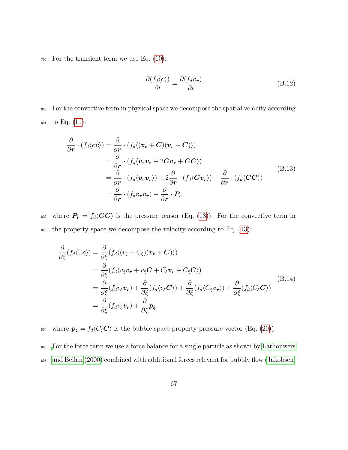$_{799}$  For the transient term we use Eq. [\(10\)](#page-10-0):

$$
\frac{\partial (f_d \langle \mathbf{c} \rangle)}{\partial t} = \frac{\partial (f_d \mathbf{v_r})}{\partial t} \tag{B.12}
$$

<sup>800</sup> For the convective term in physical space we decompose the spatial velocity according <sup>801</sup> to Eq. [\(11\)](#page-10-2):

$$
\frac{\partial}{\partial \mathbf{r}} \cdot (f_d \langle \mathbf{c} \mathbf{c} \rangle) = \frac{\partial}{\partial \mathbf{r}} \cdot (f_d \langle (\mathbf{v}_r + \mathbf{C})(\mathbf{v}_r + \mathbf{C}) \rangle)
$$
\n
$$
= \frac{\partial}{\partial \mathbf{r}} \cdot (f_d \langle \mathbf{v}_r \mathbf{v}_r + 2 \mathbf{C} \mathbf{v}_r + \mathbf{C} \mathbf{C} \rangle)
$$
\n
$$
= \frac{\partial}{\partial \mathbf{r}} \cdot (f_d \langle \mathbf{v}_r \mathbf{v}_r \rangle) + 2 \frac{\partial}{\partial \mathbf{r}} \cdot (f_d \langle \mathbf{C} \mathbf{v}_r \rangle) + \frac{\partial}{\partial \mathbf{r}} \cdot (f_d \langle \mathbf{C} \mathbf{C} \rangle)
$$
\n
$$
= \frac{\partial}{\partial \mathbf{r}} \cdot (f_d \mathbf{v}_r \mathbf{v}_r) + \frac{\partial}{\partial \mathbf{r}} \cdot \mathbf{P}_r
$$
\n(B.13)

802 where  $P_r = f_d \langle CC \rangle$  is the pressure tensor (Eq. [\(18\)](#page-11-2)). For the convective term in <sup>803</sup> the property space we decompose the velocity according to Eq. [\(13\)](#page-10-3):

$$
\frac{\partial}{\partial \xi}(f_d \langle \Xi \mathbf{c} \rangle) = \frac{\partial}{\partial \xi}(f_d \langle (v_{\xi} + C_{\xi})(\mathbf{v}_r + \mathbf{C}) \rangle)
$$
\n
$$
= \frac{\partial}{\partial \xi}(f_d \langle v_{\xi} \mathbf{v}_r + v_{\xi} \mathbf{C} + C_{\xi} \mathbf{v}_r + C_{\xi} \mathbf{C} \rangle)
$$
\n
$$
= \frac{\partial}{\partial \xi}(f_d v_{\xi} \mathbf{v}_r) + \frac{\partial}{\partial \xi}(f_d \langle v_{\xi} \mathbf{C} \rangle) + \frac{\partial}{\partial \xi}(f_d \langle C_{\xi} \mathbf{v}_r \rangle) + \frac{\partial}{\partial \xi}(f_d \langle C_{\xi} \mathbf{C} \rangle)
$$
\n
$$
= \frac{\partial}{\partial \xi}(f_d v_{\xi} \mathbf{v}_r) + \frac{\partial}{\partial \xi} \mathbf{p}_{\xi}
$$
\n(B.14)

<sup>804</sup> where  $p_{\xi} = f_d \langle C_{\xi} \mathbf{C} \rangle$  is the bubble space-property pressure vector (Eq. [\(20\)](#page-12-1)).

<sup>805</sup> [F](#page-47-0)or the force term we use a force balance for a single particle as shown by [Lathouwers](#page-47-0) <sup>806</sup> [and Bellan \(2000\)](#page-47-0) combined with additional forces relevant for bubbly flow [\(Jakobsen,](#page-46-1)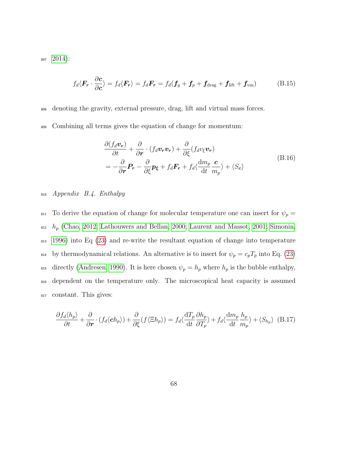<sup>807</sup> [2014\)](#page-46-1):

$$
f_d \langle \boldsymbol{F_r} \cdot \frac{\partial \boldsymbol{c}}{\partial \boldsymbol{c}} \rangle = f_d \langle \boldsymbol{F_r} \rangle = f_d \boldsymbol{F_r} = f_d (\boldsymbol{f_g} + \boldsymbol{f_p} + \boldsymbol{f_{drag}} + \boldsymbol{f_{lift}} + \boldsymbol{f_{vm}})
$$
(B.15)

<sup>808</sup> denoting the gravity, external pressure, drag, lift and virtual mass forces.

<sup>809</sup> Combining all terms gives the equation of change for momentum:

$$
\frac{\partial (f_d \mathbf{v}_r)}{\partial t} + \frac{\partial}{\partial r} \cdot (f_d \mathbf{v}_r \mathbf{v}_r) + \frac{\partial}{\partial \xi} (f_d v_\xi \mathbf{v}_r)
$$
\n
$$
= -\frac{\partial}{\partial r} \mathbf{P}_r - \frac{\partial}{\partial \xi} \mathbf{p}_\xi + f_d \mathbf{F}_r + f_d \langle \frac{\mathrm{d}m_p}{\mathrm{d}t} \frac{\mathbf{c}}{m_p} \rangle + \langle S_c \rangle
$$
\n(B.16)

## <sup>810</sup> Appendix B.4. Enthalpy

811 To derive the equation of change for molecular temperature one can insert for  $\psi_p =$  $h_p$  [\(Chao, 2012;](#page-45-0) [Lathouwers and Bellan, 2000;](#page-47-0) [Laurent and Massot, 2001;](#page-47-1) [Simonin,](#page-50-0) <sup>813</sup> [1996\)](#page-50-0) into Eq [\(23\)](#page-13-0) and re-write the resultant equation of change into temperature 814 by thermodynamical relations. An alternative is to insert for  $\psi_p = c_p T_p$  into Eq. [\(23\)](#page-13-0) 815 directly [\(Andresen, 1990\)](#page-45-1). It is here chosen  $\psi_p = h_p$  where  $h_p$  is the bubble enthalpy, <sup>816</sup> dependent on the temperature only. The microscopical heat capacity is assumed <sup>817</sup> constant. This gives:

$$
\frac{\partial f_d \langle h_p \rangle}{\partial t} + \frac{\partial}{\partial r} \cdot (f_d \langle ch_p \rangle) + \frac{\partial}{\partial \xi} (f \langle \Xi h_p \rangle) = f_d \langle \frac{\mathrm{d} T_p}{\mathrm{d} t} \frac{\partial h_p}{\partial T_p} \rangle + f_d \langle \frac{\mathrm{d} m_p}{\mathrm{d} t} \frac{h_p}{m_p} \rangle + \langle S_{h_p} \rangle \tag{B.17}
$$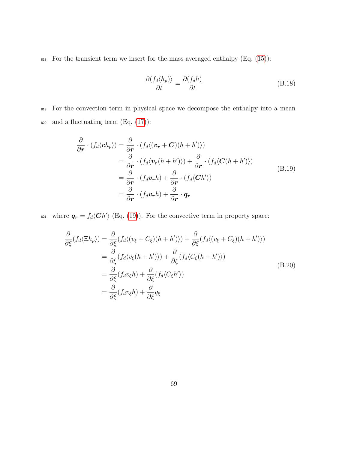$818$  For the transient term we insert for the mass averaged enthalpy (Eq. [\(15\)](#page-11-3)):

$$
\frac{\partial (f_d \langle h_p) \rangle}{\partial t} = \frac{\partial (f_d h)}{\partial t} \tag{B.18}
$$

819 For the convection term in physical space we decompose the enthalpy into a mean 820 and a fluctuating term  $(Eq. (17))$  $(Eq. (17))$  $(Eq. (17))$ :

$$
\frac{\partial}{\partial \mathbf{r}} \cdot (f_d \langle \mathbf{c} h_p \rangle) = \frac{\partial}{\partial \mathbf{r}} \cdot (f_d \langle (\mathbf{v_r} + \mathbf{C})(h + h') \rangle) \n= \frac{\partial}{\partial \mathbf{r}} \cdot (f_d \langle \mathbf{v_r}(h + h') \rangle) + \frac{\partial}{\partial \mathbf{r}} \cdot (f_d \langle \mathbf{C}(h + h') \rangle) \n= \frac{\partial}{\partial \mathbf{r}} \cdot (f_d \mathbf{v_r} h) + \frac{\partial}{\partial \mathbf{r}} \cdot (f_d \langle \mathbf{C} h' \rangle) \n= \frac{\partial}{\partial \mathbf{r}} \cdot (f_d \mathbf{v_r} h) + \frac{\partial}{\partial \mathbf{r}} \cdot \mathbf{q_r}
$$
\n(B.19)

<sup>821</sup> where  $q_r = f_d \langle Ch' \rangle$  (Eq. [\(19\)](#page-12-2)). For the convective term in property space:

$$
\frac{\partial}{\partial \xi}(f_d \langle \Xi h_p \rangle) = \frac{\partial}{\partial \xi}(f_d \langle (v_{\xi} + C_{\xi})(h + h') \rangle) + \frac{\partial}{\partial \xi}(f_d \langle (v_{\xi} + C_{\xi})(h + h') \rangle)
$$
\n
$$
= \frac{\partial}{\partial \xi}(f_d \langle v_{\xi}(h + h') \rangle) + \frac{\partial}{\partial \xi}(f_d \langle C_{\xi}(h + h') \rangle)
$$
\n
$$
= \frac{\partial}{\partial \xi}(f_d v_{\xi} h) + \frac{\partial}{\partial \xi}(f_d \langle C_{\xi} h' \rangle)
$$
\n
$$
= \frac{\partial}{\partial \xi}(f_d v_{\xi} h) + \frac{\partial}{\partial \xi}q_{\xi}
$$
\n(B.20)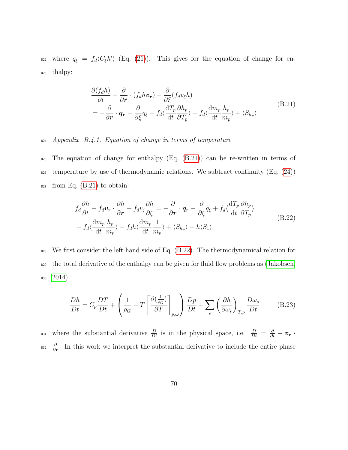<sup>822</sup> where  $q_{\xi} = f_d \langle C_{\xi} h' \rangle$  (Eq. [\(21\)](#page-12-3)). This gives for the equation of change for en-<sup>823</sup> thalpy:

<span id="page-69-0"></span>
$$
\frac{\partial (f_d h)}{\partial t} + \frac{\partial}{\partial r} \cdot (f_d h v_r) + \frac{\partial}{\partial \xi} (f_d v_\xi h) \n= -\frac{\partial}{\partial r} \cdot \mathbf{q}_r - \frac{\partial}{\partial \xi} q_\xi + f_d \langle \frac{\mathrm{d}T_p}{\mathrm{d}t} \frac{\partial h_p}{\partial T_p} \rangle + f_d \langle \frac{\mathrm{d}m_p}{\mathrm{d}t} \frac{h_p}{m_p} \rangle + \langle S_{h_p} \rangle
$$
\n(B.21)

<sup>824</sup> Appendix B.4.1. Equation of change in terms of temperature

<sup>825</sup> The equation of change for enthalpy (Eq. [\(B.21\)](#page-69-0)) can be re-written in terms of  $\frac{1}{826}$  temperature by use of thermodynamic relations. We subtract continuity (Eq. [\(24\)](#page-14-0))  $\epsilon_{827}$  from Eq. [\(B.21\)](#page-69-0) to obtain:

<span id="page-69-1"></span>
$$
f_d \frac{\partial h}{\partial t} + f_d \mathbf{v_r} \cdot \frac{\partial h}{\partial \mathbf{r}} + f_d v_{\xi} \frac{\partial h}{\partial \xi} = -\frac{\partial}{\partial \mathbf{r}} \cdot \mathbf{q_r} - \frac{\partial}{\partial \xi} q_{\xi} + f_d \langle \frac{\mathrm{d}T_p}{\mathrm{d}t} \frac{\partial h_p}{\partial T_p} \rangle + f_d \langle \frac{\mathrm{d}m_p}{\mathrm{d}t} \frac{h_p}{m_p} \rangle - f_d h \langle \frac{\mathrm{d}m_p}{\mathrm{d}t} \frac{1}{m_p} \rangle + \langle S_{h_p} \rangle - h \langle S_1 \rangle
$$
(B.22)

828 We first consider the left hand side of Eq. [\(B.22\)](#page-69-1). The thermodynamical relation for <sup>829</sup> the total derivative of the enthalpy can be given for fluid flow problems as [\(Jakobsen,](#page-46-1) <sup>830</sup> [2014\)](#page-46-1):

$$
\frac{Dh}{Dt} = C_p \frac{DT}{Dt} + \left(\frac{1}{\rho_G} - T \left[\frac{\partial(\frac{1}{\rho_G})}{\partial T}\right]_{p,\omega}\right) \frac{Dp}{Dt} + \sum_s \left(\frac{\partial h}{\partial \omega_s}\right)_{T,p} \frac{D\omega_s}{Dt}
$$
(B.23)

<sup>831</sup> where the substantial derivative  $\frac{D}{Dt}$  is in the physical space, i.e.  $\frac{D}{Dt} = \frac{\partial}{\partial t} + \mathbf{v_r}$ . ∂ <sup>832</sup>  $\frac{\partial}{\partial r}$ . In this work we interpret the substantial derivative to include the entire phase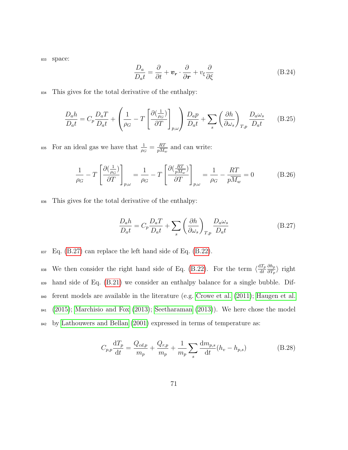<sup>833</sup> space:

$$
\frac{D_a}{D_a t} = \frac{\partial}{\partial t} + \boldsymbol{v_r} \cdot \frac{\partial}{\partial \boldsymbol{r}} + v_{\xi} \frac{\partial}{\partial \xi}
$$
(B.24)

<sup>834</sup> This gives for the total derivative of the enthalpy:

$$
\frac{D_a h}{D_a t} = C_p \frac{D_a T}{D_a t} + \left(\frac{1}{\rho_G} - T \left[\frac{\partial(\frac{1}{\rho_G})}{\partial T}\right]_{p,\omega}\right) \frac{D_a p}{D_a t} + \sum_s \left(\frac{\partial h}{\partial \omega_s}\right)_{T,p} \frac{D_a \omega_s}{D_a t}
$$
(B.25)

For an ideal gas we have that  $\frac{1}{\rho_G} = \frac{RT}{pM}$ <sup>835</sup> For an ideal gas we have that  $\frac{1}{\rho_G} = \frac{RT}{pM_w}$  and can write:

$$
\frac{1}{\rho_G} - T \left[ \frac{\partial \left( \frac{1}{\rho_G} \right)}{\partial T} \right]_{p,\omega} = \frac{1}{\rho_G} - T \left[ \frac{\partial \left( \frac{RT}{pM_w} \right)}{\partial T} \right]_{p,\omega} = \frac{1}{\rho_G} - \frac{RT}{pM_w} = 0 \tag{B.26}
$$

<sup>836</sup> This gives for the total derivative of the enthalpy:

<span id="page-70-0"></span>
$$
\frac{D_a h}{D_a t} = C_p \frac{D_a T}{D_a t} + \sum_s \left(\frac{\partial h}{\partial \omega_s}\right)_{T, p} \frac{D_a \omega_s}{D_a t}
$$
(B.27)

 $_{837}$  Eq. [\(B.27\)](#page-70-0) can replace the left hand side of Eq. [\(B.22\)](#page-69-1).

We then consider the right hand side of Eq. [\(B.22\)](#page-69-1). For the term  $\langle \frac{dT_p}{dt} \rangle$ dt  $\partial h_p$ <sup>838</sup> We then consider the right hand side of Eq. (B.22). For the term  $\langle \frac{dI_p}{dt} \frac{\partial n_p}{\partial T_p} \rangle$  right 839 hand side of Eq. [\(B.21\)](#page-69-0) we consider an enthalpy balance for a single bubble. Dif-<sup>840</sup> ferent models are available in the literature (e.g. [Crowe et al. \(2011\)](#page-46-2); [Haugen et al.](#page-46-3) <sup>841</sup> [\(2015\)](#page-46-3); [Marchisio and Fox \(2013\)](#page-48-0); [Seetharaman \(2013\)](#page-49-0)). We here chose the model <sup>842</sup> by [Lathouwers and Bellan \(2001\)](#page-47-2) expressed in terms of temperature as:

<span id="page-70-1"></span>
$$
C_{p,p} \frac{dT_p}{dt} = \frac{Q_{cd,p}}{m_p} + \frac{Q_{r,p}}{m_p} + \frac{1}{m_p} \sum_s \frac{dm_{p,s}}{dt} (h_v - h_{p,s})
$$
(B.28)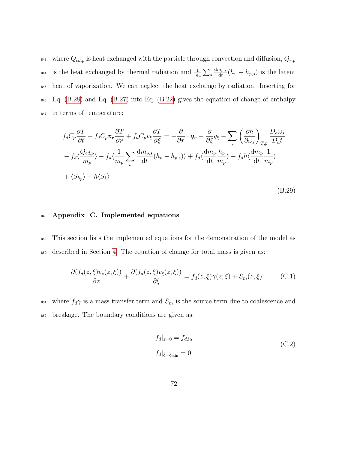843 where  $Q_{cd,p}$  is heat exchanged with the particle through convection and diffusion,  $Q_{r,p}$ is the heat exchanged by thermal radiation and  $\frac{1}{m_p} \sum_s$  $dm_{p,s}$ <sup>844</sup> is the heat exchanged by thermal radiation and  $\frac{1}{m_p} \sum_s \frac{dm_{p,s}}{dt}(h_v - h_{p,s})$  is the latent <sup>845</sup> heat of vaporization. We can neglect the heat exchange by radiation. Inserting for <sup>846</sup> Eq. [\(B.28\)](#page-70-1) and Eq. [\(B.27\)](#page-70-0) into Eq. [\(B.22\)](#page-69-1) gives the equation of change of enthalpy <sup>847</sup> in terms of temperature:

$$
f_d C_p \frac{\partial T}{\partial t} + f_d C_p \mathbf{v}_r \frac{\partial T}{\partial r} + f_d C_p \mathbf{v}_\xi \frac{\partial T}{\partial \xi} = -\frac{\partial}{\partial r} \cdot \mathbf{q}_r - \frac{\partial}{\partial \xi} q_\xi - \sum_s \left(\frac{\partial h}{\partial \omega_s}\right)_{T,p} \frac{D_a \omega_s}{D_a t}
$$
  

$$
-f_d \langle \frac{Q_{cd,p}}{m_p} \rangle - f_d \langle \frac{1}{m_p} \sum_s \frac{dm_{p,s}}{dt} (h_v - h_{p,s}) \rangle + f_d \langle \frac{dm_p}{dt} \frac{h_p}{m_p} \rangle - f_d h \langle \frac{dm_p}{dt} \frac{1}{m_p} \rangle
$$
  

$$
+ \langle S_{h_p} \rangle - h \langle S_1 \rangle
$$
 (B.29)

## 848 Appendix C. Implemented equations

<sup>849</sup> This section lists the implemented equations for the demonstration of the model as <sup>850</sup> described in Section [4.](#page-31-0) The equation of change for total mass is given as:

$$
\frac{\partial (f_d(z,\xi)v_z(z,\xi))}{\partial z} + \frac{\partial (f_d(z,\xi)v_{\xi}(z,\xi))}{\partial \xi} = f_d(z,\xi)\gamma(z,\xi) + S_m(z,\xi) \tag{C.1}
$$

<sup>851</sup> where  $f_d\gamma$  is a mass transfer term and  $S_m$  is the source term due to coalescence and <sup>852</sup> breakage. The boundary conditions are given as:

$$
f_d|_{z=0} = f_{d,\text{in}}
$$
  
\n
$$
f_d|_{\xi = \xi_{\text{min}}} = 0
$$
\n(C.2)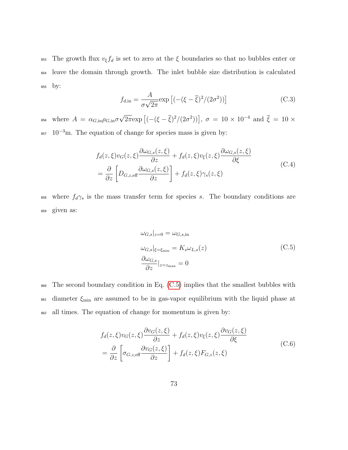<sup>853</sup> The growth flux  $v_{\xi}f_d$  is set to zero at the  $\xi$  boundaries so that no bubbles enter or <sup>854</sup> leave the domain through growth. The inlet bubble size distribution is calculated <sup>855</sup> by:

$$
f_{d,in} = \frac{A}{\sigma\sqrt{2\pi}} \exp\left[(-(\xi - \overline{\xi})^2/(2\sigma^2))\right]
$$
 (C.3)

where  $A = \alpha_{G,in}\rho_{G,in}\sigma$ √ <sup>256</sup> where  $A = \alpha_{G,\text{in}} \rho_{G,\text{in}} \sigma \sqrt{2\pi} \exp \left[ (-(\xi - \overline{\xi})^2/(2\sigma^2)) \right], \sigma = 10 \times 10^{-4}$  and  $\overline{\xi} = 10 \times 10^{-4}$  $_{857}$  10<sup>-3</sup>m. The equation of change for species mass is given by:

$$
f_d(z,\xi)v_G(z,\xi)\frac{\partial \omega_{G,s}(z,\xi)}{\partial z} + f_d(z,\xi)v_{\xi}(z,\xi)\frac{\partial \omega_{G,s}(z,\xi)}{\partial \xi}
$$
  
= 
$$
\frac{\partial}{\partial z}\left[D_{G,z,\text{eff}}\frac{\partial \omega_{G,s}(z,\xi)}{\partial z}\right] + f_d(z,\xi)\gamma_s(z,\xi)
$$
 (C.4)

<span id="page-72-0"></span>858 where  $f_d\gamma_s$  is the mass transfer term for species s. The boundary conditions are <sup>859</sup> given as:

$$
\omega_{G,s}|_{z=0} = \omega_{G,s,\text{in}}
$$
  
\n
$$
\omega_{G,s}|_{\xi = \xi_{\text{min}}} = K_s \omega_{L,s}(z)
$$
  
\n
$$
\frac{\partial \omega_{G,s}}{\partial z}|_{z=z_{\text{max}}} = 0
$$
\n(C.5)

<sup>860</sup> The second boundary condition in Eq. [\(C.5\)](#page-72-0) implies that the smallest bubbles with  $\frac{1}{2661}$  diameter  $\xi_{\text{min}}$  are assumed to be in gas-vapor equilibrium with the liquid phase at <sup>862</sup> all times. The equation of change for momentum is given by:

$$
f_d(z,\xi)v_G(z,\xi)\frac{\partial v_G(z,\xi)}{\partial z} + f_d(z,\xi)v_{\xi}(z,\xi)\frac{\partial v_G(z,\xi)}{\partial \xi}
$$
  
=  $\frac{\partial}{\partial z}\left[\sigma_{G,z,\text{eff}}\frac{\partial v_G(z,\xi)}{\partial z}\right] + f_d(z,\xi)F_{G,z}(z,\xi)$  (C.6)